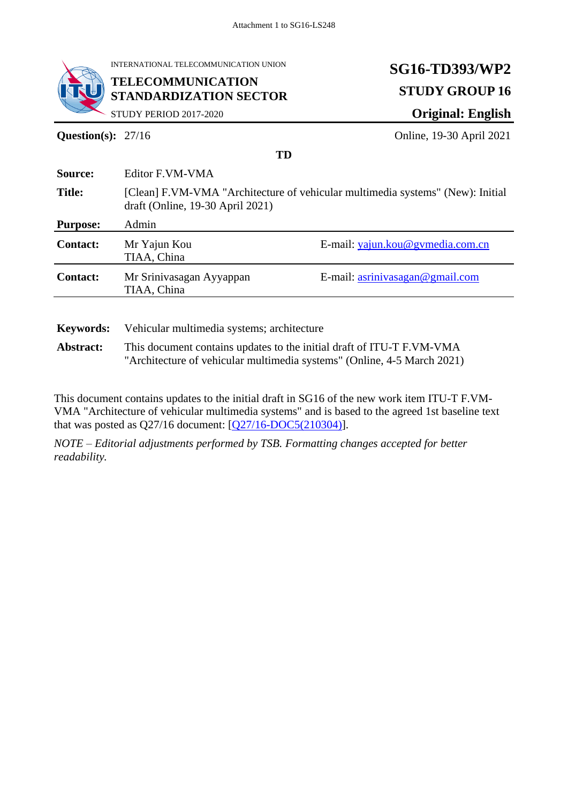

INTERNATIONAL TELECOMMUNICATION UNION

#### **TELECOMMUNICATION STANDARDIZATION SECTOR**

# **SG16-TD393/WP2 STUDY GROUP 16 Original: English**

STUDY PERIOD 2017-2020

**Question(s):** 27/16 **Online, 19-30 April 2021** 

| Source:          | Editor F.VM-VMA                                                                                                    |                                  |
|------------------|--------------------------------------------------------------------------------------------------------------------|----------------------------------|
| <b>Title:</b>    | [Clean] F.VM-VMA "Architecture of vehicular multimedia systems" (New): Initial<br>draft (Online, 19-30 April 2021) |                                  |
| <b>Purpose:</b>  | Admin                                                                                                              |                                  |
| <b>Contact:</b>  | Mr Yajun Kou<br>TIAA, China                                                                                        | E-mail: yajun.kou@gvmedia.com.cn |
| <b>Contact:</b>  | Mr Srinivasagan Ayyappan<br>TIAA, China                                                                            | E-mail: asrinivasagan@gmail.com  |
| <b>Kevwords:</b> | Vehicular multimedia systems; architecture                                                                         |                                  |

**TD**

**Abstract:** This document contains updates to the initial draft of ITU-T F.VM-VMA

"Architecture of vehicular multimedia systems" (Online, 4-5 March 2021)

This document contains updates to the initial draft in SG16 of the new work item ITU-T F.VM-VMA "Architecture of vehicular multimedia systems" and is based to the agreed 1st baseline text that was posted as Q27/16 document: [\[Q27/16-DOC5\(210304\)\]](https://extranet.itu.int/meetings/ITU-T/T17-SG16RGM/Q27-210304/DOCs/T17-SG16RGM-Q27-210304-DOC-0005.docx).

*NOTE – Editorial adjustments performed by TSB. Formatting changes accepted for better readability.*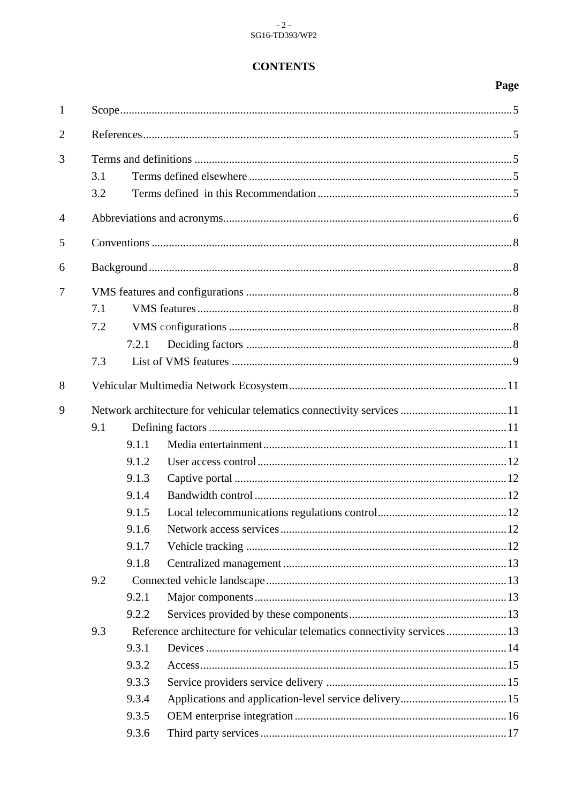#### **CONTENTS**

| $\mathbf{1}$   |                   |                                                                      |                                                                          |  |
|----------------|-------------------|----------------------------------------------------------------------|--------------------------------------------------------------------------|--|
| $\overline{2}$ |                   |                                                                      |                                                                          |  |
| 3              | 3.1<br>3.2        |                                                                      |                                                                          |  |
| $\overline{4}$ |                   |                                                                      |                                                                          |  |
| 5              |                   |                                                                      |                                                                          |  |
| 6              |                   |                                                                      |                                                                          |  |
| 7              | 7.1<br>7.2<br>7.3 | 7.2.1                                                                |                                                                          |  |
| 8              |                   |                                                                      |                                                                          |  |
| 9              | 9.1               | 9.1.1<br>9.1.2<br>9.1.3<br>9.1.4<br>9.1.5<br>9.1.6<br>9.1.7<br>9.1.8 |                                                                          |  |
|                | 9.2               | 9.2.1<br>9.2.2                                                       |                                                                          |  |
|                | 9.3               | 9.3.1<br>9.3.2<br>9.3.3<br>9.3.4<br>9.3.5<br>9.3.6                   | Reference architecture for vehicular telematics connectivity services 13 |  |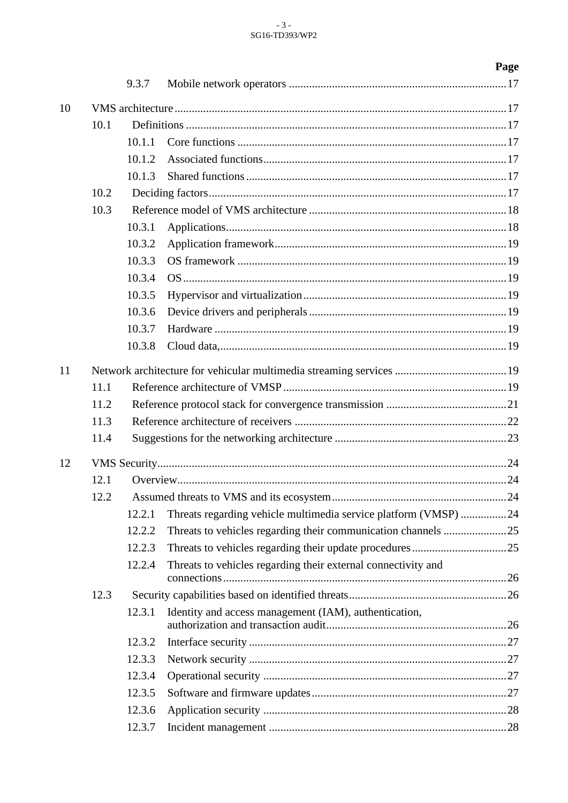# $\begin{array}{c} \texttt{-3 -} \\ \texttt{SG16-TD393/WP2} \end{array}$

| 9.3.7<br>10<br>10.1<br>10.1.1<br>10.1.2<br>10.1.3<br>10.2<br>10.3<br>10.3.1<br>10.3.2<br>10.3.3<br>10.3.4<br>10.3.5<br>10.3.6<br>10.3.7<br>10.3.8<br>11<br>11.1<br>11.2<br>11.3<br>11.4<br>12<br>12.1<br>12.2<br>Threats regarding vehicle multimedia service platform (VMSP) 24<br>12.2.1<br>12.2.2<br>12.2.3<br>Threats to vehicles regarding their external connectivity and<br>12.2.4<br>12.3<br>Identity and access management (IAM), authentication,<br>12.3.1<br>12.3.2<br>12.3.3 |  |  |  | Page |
|------------------------------------------------------------------------------------------------------------------------------------------------------------------------------------------------------------------------------------------------------------------------------------------------------------------------------------------------------------------------------------------------------------------------------------------------------------------------------------------|--|--|--|------|
|                                                                                                                                                                                                                                                                                                                                                                                                                                                                                          |  |  |  |      |
|                                                                                                                                                                                                                                                                                                                                                                                                                                                                                          |  |  |  |      |
|                                                                                                                                                                                                                                                                                                                                                                                                                                                                                          |  |  |  |      |
|                                                                                                                                                                                                                                                                                                                                                                                                                                                                                          |  |  |  |      |
|                                                                                                                                                                                                                                                                                                                                                                                                                                                                                          |  |  |  |      |
|                                                                                                                                                                                                                                                                                                                                                                                                                                                                                          |  |  |  |      |
|                                                                                                                                                                                                                                                                                                                                                                                                                                                                                          |  |  |  |      |
|                                                                                                                                                                                                                                                                                                                                                                                                                                                                                          |  |  |  |      |
|                                                                                                                                                                                                                                                                                                                                                                                                                                                                                          |  |  |  |      |
|                                                                                                                                                                                                                                                                                                                                                                                                                                                                                          |  |  |  |      |
|                                                                                                                                                                                                                                                                                                                                                                                                                                                                                          |  |  |  |      |
|                                                                                                                                                                                                                                                                                                                                                                                                                                                                                          |  |  |  |      |
|                                                                                                                                                                                                                                                                                                                                                                                                                                                                                          |  |  |  |      |
|                                                                                                                                                                                                                                                                                                                                                                                                                                                                                          |  |  |  |      |
|                                                                                                                                                                                                                                                                                                                                                                                                                                                                                          |  |  |  |      |
|                                                                                                                                                                                                                                                                                                                                                                                                                                                                                          |  |  |  |      |
|                                                                                                                                                                                                                                                                                                                                                                                                                                                                                          |  |  |  |      |
|                                                                                                                                                                                                                                                                                                                                                                                                                                                                                          |  |  |  |      |
|                                                                                                                                                                                                                                                                                                                                                                                                                                                                                          |  |  |  |      |
|                                                                                                                                                                                                                                                                                                                                                                                                                                                                                          |  |  |  |      |
|                                                                                                                                                                                                                                                                                                                                                                                                                                                                                          |  |  |  |      |
|                                                                                                                                                                                                                                                                                                                                                                                                                                                                                          |  |  |  |      |
|                                                                                                                                                                                                                                                                                                                                                                                                                                                                                          |  |  |  |      |
|                                                                                                                                                                                                                                                                                                                                                                                                                                                                                          |  |  |  |      |
|                                                                                                                                                                                                                                                                                                                                                                                                                                                                                          |  |  |  |      |
|                                                                                                                                                                                                                                                                                                                                                                                                                                                                                          |  |  |  |      |
|                                                                                                                                                                                                                                                                                                                                                                                                                                                                                          |  |  |  |      |
|                                                                                                                                                                                                                                                                                                                                                                                                                                                                                          |  |  |  |      |
|                                                                                                                                                                                                                                                                                                                                                                                                                                                                                          |  |  |  |      |
|                                                                                                                                                                                                                                                                                                                                                                                                                                                                                          |  |  |  |      |
|                                                                                                                                                                                                                                                                                                                                                                                                                                                                                          |  |  |  |      |
|                                                                                                                                                                                                                                                                                                                                                                                                                                                                                          |  |  |  |      |
| 12.3.4                                                                                                                                                                                                                                                                                                                                                                                                                                                                                   |  |  |  |      |
| 12.3.5                                                                                                                                                                                                                                                                                                                                                                                                                                                                                   |  |  |  |      |
| 12.3.6                                                                                                                                                                                                                                                                                                                                                                                                                                                                                   |  |  |  |      |
| 12.3.7                                                                                                                                                                                                                                                                                                                                                                                                                                                                                   |  |  |  |      |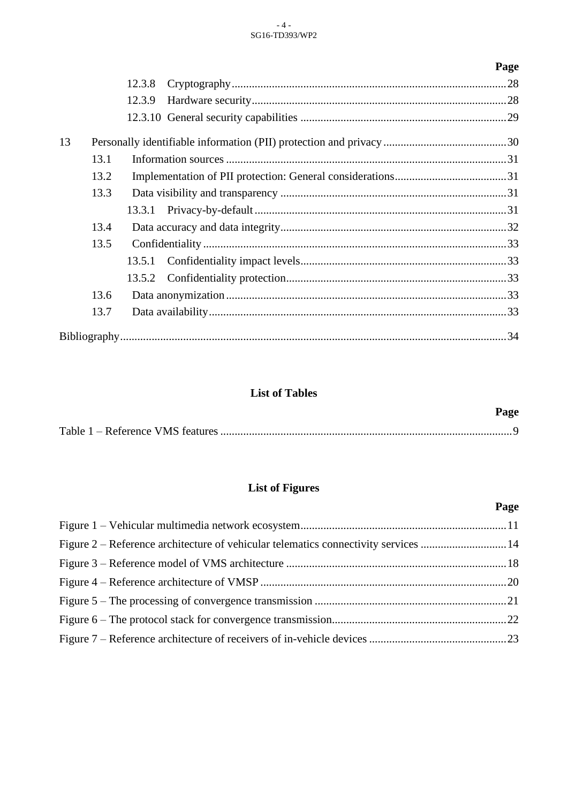#### - 4 - SG16-TD393/WP2

|    |      |        | Page |
|----|------|--------|------|
|    |      | 12.3.8 |      |
|    |      | 12.3.9 |      |
|    |      |        |      |
| 13 |      |        |      |
|    | 13.1 |        |      |
|    | 13.2 |        |      |
|    | 13.3 |        |      |
|    |      | 13.3.1 |      |
|    | 13.4 |        |      |
|    | 13.5 |        |      |
|    |      | 13.5.1 |      |
|    |      | 13.5.2 |      |
|    | 13.6 |        |      |
|    | 13.7 |        |      |
|    |      |        |      |

## **List of Tables**

| Page |
|------|
|      |

# **List of Figures**

|                                                                                    | Page |
|------------------------------------------------------------------------------------|------|
|                                                                                    |      |
| Figure 2 – Reference architecture of vehicular telematics connectivity services 14 |      |
|                                                                                    |      |
|                                                                                    |      |
|                                                                                    |      |
|                                                                                    |      |
|                                                                                    |      |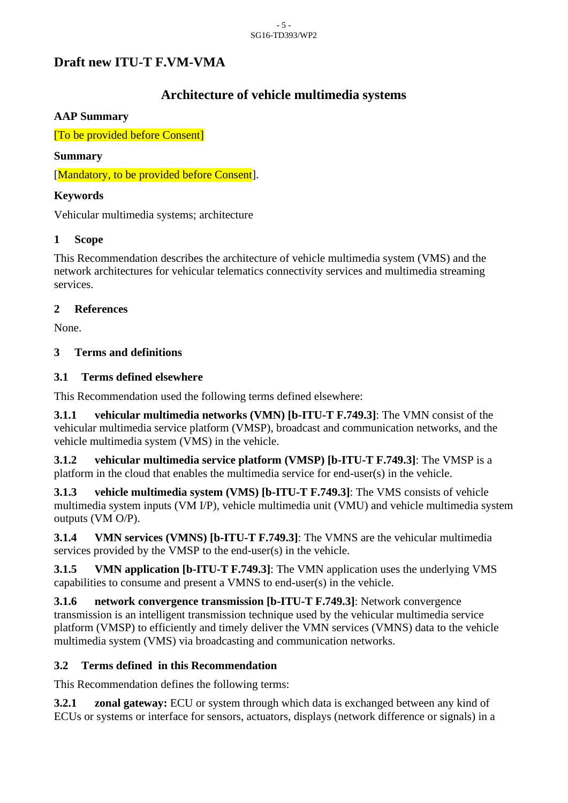# **Draft new ITU-T F.VM-VMA**

# **Architecture of vehicle multimedia systems**

#### **AAP Summary**

[To be provided before Consent]

#### **Summary**

[Mandatory, to be provided before Consent].

### **Keywords**

Vehicular multimedia systems; architecture

## <span id="page-4-0"></span>**1 Scope**

This Recommendation describes the architecture of vehicle multimedia system (VMS) and the network architectures for vehicular telematics connectivity services and multimedia streaming services.

## <span id="page-4-1"></span>**2 References**

None.

## <span id="page-4-2"></span>**3 Terms and definitions**

## <span id="page-4-3"></span>**3.1 Terms defined elsewhere**

This Recommendation used the following terms defined elsewhere:

**3.1.1 vehicular multimedia networks (VMN) [b-ITU-T F.749.3]**: The VMN consist of the vehicular multimedia service platform (VMSP), broadcast and communication networks, and the vehicle multimedia system (VMS) in the vehicle.

**3.1.2 vehicular multimedia service platform (VMSP) [b-ITU-T F.749.3]**: The VMSP is a platform in the cloud that enables the multimedia service for end-user(s) in the vehicle.

**3.1.3 vehicle multimedia system (VMS) [b-ITU-T F.749.3]**: The VMS consists of vehicle multimedia system inputs (VM I/P), vehicle multimedia unit (VMU) and vehicle multimedia system outputs (VM O/P).

**3.1.4 VMN services (VMNS) [b-ITU-T F.749.3]**: The VMNS are the vehicular multimedia services provided by the VMSP to the end-user(s) in the vehicle.

**3.1.5 VMN application [b-ITU-T F.749.3]**: The VMN application uses the underlying VMS capabilities to consume and present a VMNS to end-user(s) in the vehicle.

**3.1.6 network convergence transmission [b-ITU-T F.749.3]**: Network convergence transmission is an intelligent transmission technique used by the vehicular multimedia service platform (VMSP) to efficiently and timely deliver the VMN services (VMNS) data to the vehicle multimedia system (VMS) via broadcasting and communication networks.

## <span id="page-4-4"></span>**3.2 Terms defined in this Recommendation**

This Recommendation defines the following terms:

**3.2.1 zonal gateway:** ECU or system through which data is exchanged between any kind of ECUs or systems or interface for sensors, actuators, displays (network difference or signals) in a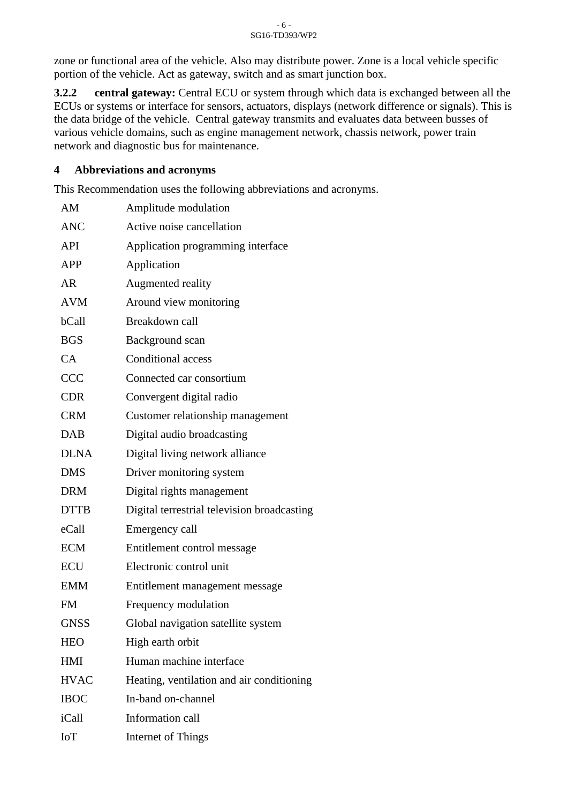zone or functional area of the vehicle. Also may distribute power. Zone is a local vehicle specific portion of the vehicle. Act as gateway, switch and as smart junction box.

**3.2.2 central gateway:** Central ECU or system through which data is exchanged between all the ECUs or systems or interface for sensors, actuators, displays (network difference or signals). This is the data bridge of the vehicle. Central gateway transmits and evaluates data between busses of various vehicle domains, such as engine management network, chassis network, power train network and diagnostic bus for maintenance.

#### <span id="page-5-0"></span>**4 Abbreviations and acronyms**

This Recommendation uses the following abbreviations and acronyms.

| AM          | Amplitude modulation                        |
|-------------|---------------------------------------------|
| <b>ANC</b>  | Active noise cancellation                   |
| <b>API</b>  | Application programming interface           |
| <b>APP</b>  | Application                                 |
| AR          | Augmented reality                           |
| <b>AVM</b>  | Around view monitoring                      |
| bCall       | Breakdown call                              |
| <b>BGS</b>  | Background scan                             |
| CA          | <b>Conditional access</b>                   |
| <b>CCC</b>  | Connected car consortium                    |
| <b>CDR</b>  | Convergent digital radio                    |
| <b>CRM</b>  | Customer relationship management            |
| <b>DAB</b>  | Digital audio broadcasting                  |
| <b>DLNA</b> | Digital living network alliance             |
| <b>DMS</b>  | Driver monitoring system                    |
| <b>DRM</b>  | Digital rights management                   |
| <b>DTTB</b> | Digital terrestrial television broadcasting |
| eCall       | Emergency call                              |
| <b>ECM</b>  | Entitlement control message                 |
| <b>ECU</b>  | Electronic control unit                     |
| <b>EMM</b>  | Entitlement management message              |
| <b>FM</b>   | Frequency modulation                        |
| <b>GNSS</b> | Global navigation satellite system          |
| <b>HEO</b>  | High earth orbit                            |
| HMI         | Human machine interface                     |
| <b>HVAC</b> | Heating, ventilation and air conditioning   |
| <b>IBOC</b> | In-band on-channel                          |
| iCall       | Information call                            |
| <b>IoT</b>  | Internet of Things                          |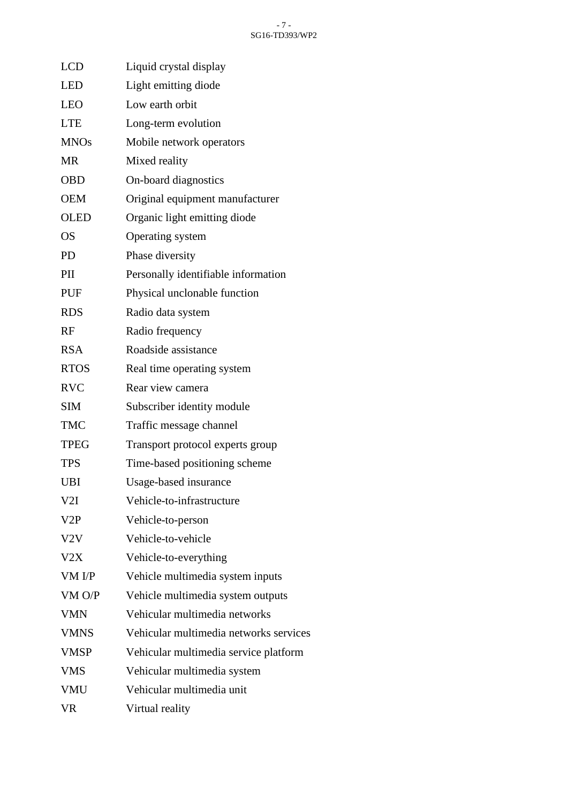| <b>LCD</b>  | Liquid crystal display                 |
|-------------|----------------------------------------|
| <b>LED</b>  | Light emitting diode                   |
| <b>LEO</b>  | Low earth orbit                        |
| <b>LTE</b>  | Long-term evolution                    |
| <b>MNOs</b> | Mobile network operators               |
| <b>MR</b>   | Mixed reality                          |
| <b>OBD</b>  | On-board diagnostics                   |
| <b>OEM</b>  | Original equipment manufacturer        |
| <b>OLED</b> | Organic light emitting diode           |
| <b>OS</b>   | Operating system                       |
| <b>PD</b>   | Phase diversity                        |
| PII         | Personally identifiable information    |
| <b>PUF</b>  | Physical unclonable function           |
| <b>RDS</b>  | Radio data system                      |
| RF          | Radio frequency                        |
| <b>RSA</b>  | Roadside assistance                    |
| <b>RTOS</b> | Real time operating system             |
| <b>RVC</b>  | Rear view camera                       |
| <b>SIM</b>  | Subscriber identity module             |
| <b>TMC</b>  | Traffic message channel                |
| <b>TPEG</b> | Transport protocol experts group       |
| <b>TPS</b>  | Time-based positioning scheme          |
| <b>UBI</b>  | Usage-based insurance                  |
| V2I         | Vehicle-to-infrastructure              |
| V2P         | Vehicle-to-person                      |
| V2V         | Vehicle-to-vehicle                     |
| V2X         | Vehicle-to-everything                  |
| VM I/P      | Vehicle multimedia system inputs       |
| $VM$ $O/P$  | Vehicle multimedia system outputs      |
| <b>VMN</b>  | Vehicular multimedia networks          |
| <b>VMNS</b> | Vehicular multimedia networks services |
| <b>VMSP</b> | Vehicular multimedia service platform  |
| <b>VMS</b>  | Vehicular multimedia system            |
| <b>VMU</b>  | Vehicular multimedia unit              |
| <b>VR</b>   | Virtual reality                        |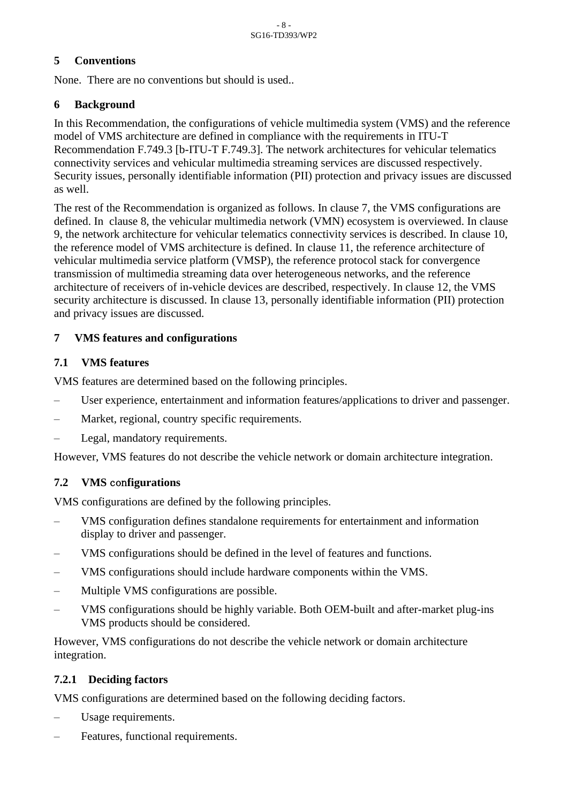#### <span id="page-7-0"></span>**5 Conventions**

None. There are no conventions but should is used..

#### <span id="page-7-1"></span>**6 Background**

In this Recommendation, the configurations of vehicle multimedia system (VMS) and the reference model of VMS architecture are defined in compliance with the requirements in ITU-T Recommendation F.749.3 [b-ITU-T F.749.3]. The network architectures for vehicular telematics connectivity services and vehicular multimedia streaming services are discussed respectively. Security issues, personally identifiable information (PII) protection and privacy issues are discussed as well.

The rest of the Recommendation is organized as follows. In clause 7, the VMS configurations are defined. In clause 8, the vehicular multimedia network (VMN) ecosystem is overviewed. In clause 9, the network architecture for vehicular telematics connectivity services is described. In clause 10, the reference model of VMS architecture is defined. In clause 11, the reference architecture of vehicular multimedia service platform (VMSP), the reference protocol stack for convergence transmission of multimedia streaming data over heterogeneous networks, and the reference architecture of receivers of in-vehicle devices are described, respectively. In clause 12, the VMS security architecture is discussed. In clause 13, personally identifiable information (PII) protection and privacy issues are discussed.

#### <span id="page-7-2"></span>**7 VMS features and configurations**

#### <span id="page-7-3"></span>**7.1 VMS features**

VMS features are determined based on the following principles.

- User experience, entertainment and information features/applications to driver and passenger.
- Market, regional, country specific requirements.
- Legal, mandatory requirements.

However, VMS features do not describe the vehicle network or domain architecture integration.

#### <span id="page-7-4"></span>**7.2 VMS** con**figurations**

VMS configurations are defined by the following principles.

- VMS configuration defines standalone requirements for entertainment and information display to driver and passenger.
- VMS configurations should be defined in the level of features and functions.
- VMS configurations should include hardware components within the VMS.
- Multiple VMS configurations are possible.
- VMS configurations should be highly variable. Both OEM-built and after-market plug-ins VMS products should be considered.

However, VMS configurations do not describe the vehicle network or domain architecture integration.

#### <span id="page-7-5"></span>**7.2.1 Deciding factors**

VMS configurations are determined based on the following deciding factors.

- Usage requirements.
- Features, functional requirements.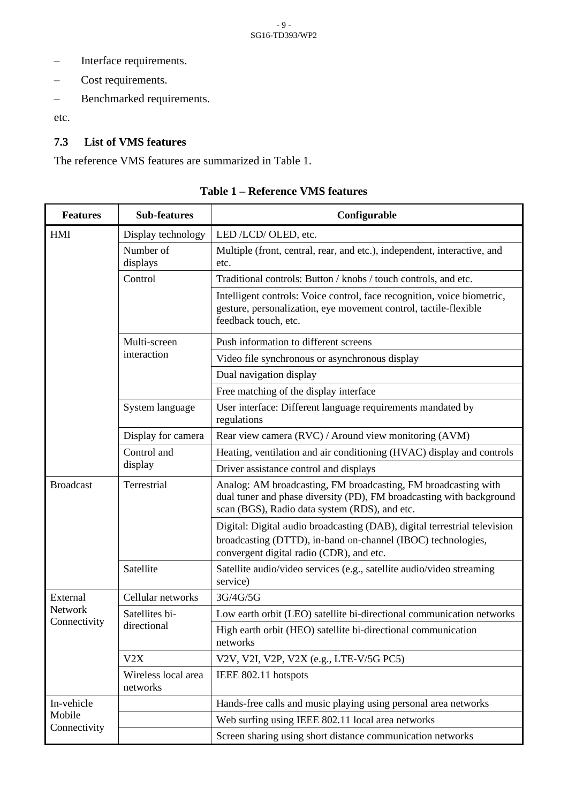- Interface requirements.
- Cost requirements.
- Benchmarked requirements.

etc.

#### <span id="page-8-0"></span>**7.3 List of VMS features**

<span id="page-8-1"></span>The reference VMS features are summarized in Table 1.

| <b>Features</b>  | <b>Sub-features</b>             | Configurable                                                                                                                                                                            |
|------------------|---------------------------------|-----------------------------------------------------------------------------------------------------------------------------------------------------------------------------------------|
| <b>HMI</b>       | Display technology              | LED /LCD/ OLED, etc.                                                                                                                                                                    |
|                  | Number of<br>displays           | Multiple (front, central, rear, and etc.), independent, interactive, and<br>etc.                                                                                                        |
|                  | Control                         | Traditional controls: Button / knobs / touch controls, and etc.                                                                                                                         |
|                  |                                 | Intelligent controls: Voice control, face recognition, voice biometric,<br>gesture, personalization, eye movement control, tactile-flexible<br>feedback touch, etc.                     |
|                  | Multi-screen                    | Push information to different screens                                                                                                                                                   |
|                  | interaction                     | Video file synchronous or asynchronous display                                                                                                                                          |
|                  |                                 | Dual navigation display                                                                                                                                                                 |
|                  |                                 | Free matching of the display interface                                                                                                                                                  |
|                  | System language                 | User interface: Different language requirements mandated by<br>regulations                                                                                                              |
|                  | Display for camera              | Rear view camera (RVC) / Around view monitoring (AVM)                                                                                                                                   |
|                  | Control and<br>display          | Heating, ventilation and air conditioning (HVAC) display and controls                                                                                                                   |
|                  |                                 | Driver assistance control and displays                                                                                                                                                  |
| <b>Broadcast</b> | Terrestrial                     | Analog: AM broadcasting, FM broadcasting, FM broadcasting with<br>dual tuner and phase diversity (PD), FM broadcasting with background<br>scan (BGS), Radio data system (RDS), and etc. |
|                  |                                 | Digital: Digital audio broadcasting (DAB), digital terrestrial television<br>broadcasting (DTTD), in-band on-channel (IBOC) technologies,<br>convergent digital radio (CDR), and etc.   |
|                  | Satellite                       | Satellite audio/video services (e.g., satellite audio/video streaming<br>service)                                                                                                       |
| External         | Cellular networks               | 3G/4G/5G                                                                                                                                                                                |
| Network          | Satellites bi-                  | Low earth orbit (LEO) satellite bi-directional communication networks                                                                                                                   |
| Connectivity     | directional                     | High earth orbit (HEO) satellite bi-directional communication<br>networks                                                                                                               |
|                  | V2X                             | V2V, V2I, V2P, V2X (e.g., LTE-V/5G PC5)                                                                                                                                                 |
|                  | Wireless local area<br>networks | IEEE 802.11 hotspots                                                                                                                                                                    |
| In-vehicle       |                                 | Hands-free calls and music playing using personal area networks                                                                                                                         |
| Mobile           |                                 | Web surfing using IEEE 802.11 local area networks                                                                                                                                       |
| Connectivity     |                                 | Screen sharing using short distance communication networks                                                                                                                              |

**Table 1 – Reference VMS features**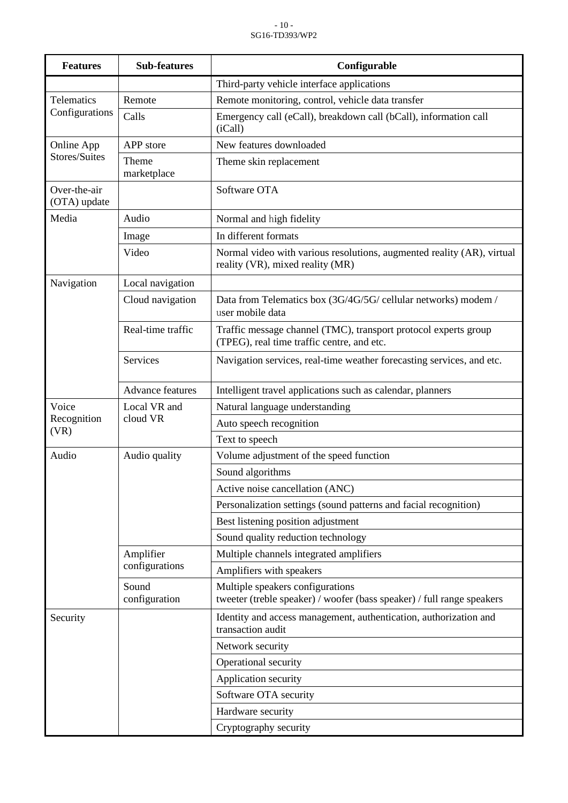| <b>Features</b>              | <b>Sub-features</b>         | Configurable                                                                                                  |
|------------------------------|-----------------------------|---------------------------------------------------------------------------------------------------------------|
|                              |                             | Third-party vehicle interface applications                                                                    |
| <b>Telematics</b>            | Remote                      | Remote monitoring, control, vehicle data transfer                                                             |
| Configurations               | Calls                       | Emergency call (eCall), breakdown call (bCall), information call<br>(iCall)                                   |
| Online App                   | APP store                   | New features downloaded                                                                                       |
| Stores/Suites                | Theme<br>marketplace        | Theme skin replacement                                                                                        |
| Over-the-air<br>(OTA) update |                             | Software OTA                                                                                                  |
| Media                        | Audio                       | Normal and high fidelity                                                                                      |
|                              | Image                       | In different formats                                                                                          |
|                              | Video                       | Normal video with various resolutions, augmented reality (AR), virtual<br>reality (VR), mixed reality (MR)    |
| Navigation                   | Local navigation            |                                                                                                               |
|                              | Cloud navigation            | Data from Telematics box (3G/4G/5G/ cellular networks) modem /<br>user mobile data                            |
|                              | Real-time traffic           | Traffic message channel (TMC), transport protocol experts group<br>(TPEG), real time traffic centre, and etc. |
|                              | Services                    | Navigation services, real-time weather forecasting services, and etc.                                         |
|                              | <b>Advance features</b>     | Intelligent travel applications such as calendar, planners                                                    |
| Voice<br>Recognition         | Local VR and                | Natural language understanding                                                                                |
|                              | cloud VR                    | Auto speech recognition                                                                                       |
| (VR)                         |                             | Text to speech                                                                                                |
| Audio                        | Audio quality               | Volume adjustment of the speed function                                                                       |
|                              |                             | Sound algorithms                                                                                              |
|                              |                             | Active noise cancellation (ANC)                                                                               |
|                              |                             | Personalization settings (sound patterns and facial recognition)                                              |
|                              |                             | Best listening position adjustment                                                                            |
|                              |                             | Sound quality reduction technology                                                                            |
|                              | Amplifier<br>configurations | Multiple channels integrated amplifiers                                                                       |
|                              |                             | Amplifiers with speakers                                                                                      |
|                              | Sound<br>configuration      | Multiple speakers configurations<br>tweeter (treble speaker) / woofer (bass speaker) / full range speakers    |
| Security                     |                             | Identity and access management, authentication, authorization and<br>transaction audit                        |
|                              |                             | Network security                                                                                              |
|                              |                             | Operational security                                                                                          |
|                              |                             | Application security                                                                                          |
|                              |                             | Software OTA security                                                                                         |
|                              |                             | Hardware security                                                                                             |
|                              |                             | Cryptography security                                                                                         |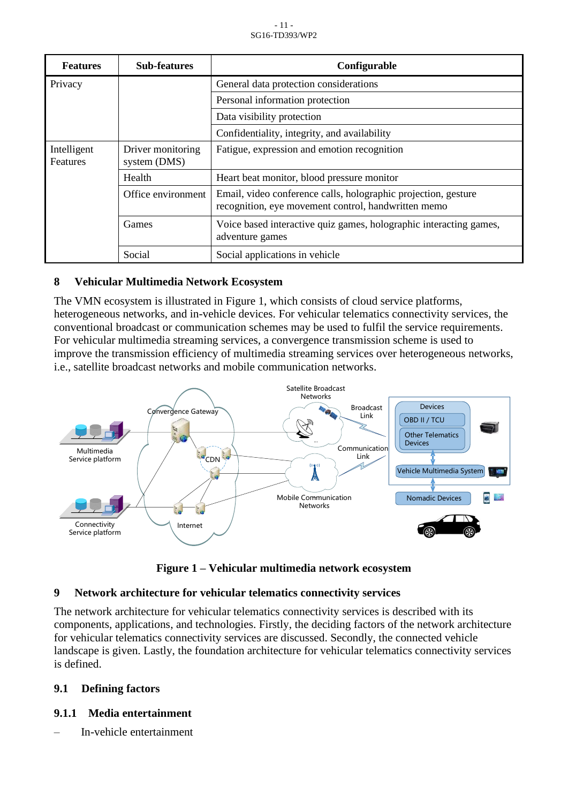| <b>Features</b>         | <b>Sub-features</b>               | Configurable                                                                                                          |
|-------------------------|-----------------------------------|-----------------------------------------------------------------------------------------------------------------------|
| Privacy                 |                                   | General data protection considerations                                                                                |
|                         |                                   | Personal information protection                                                                                       |
|                         |                                   | Data visibility protection                                                                                            |
|                         |                                   | Confidentiality, integrity, and availability                                                                          |
| Intelligent<br>Features | Driver monitoring<br>system (DMS) | Fatigue, expression and emotion recognition                                                                           |
|                         | Health                            | Heart beat monitor, blood pressure monitor                                                                            |
|                         | Office environment                | Email, video conference calls, holographic projection, gesture<br>recognition, eye movement control, handwritten memo |
|                         | Games                             | Voice based interactive quiz games, holographic interacting games,<br>adventure games                                 |
|                         | Social                            | Social applications in vehicle                                                                                        |

#### <span id="page-10-0"></span>**8 Vehicular Multimedia Network Ecosystem**

The VMN ecosystem is illustrated in Figure 1, which consists of cloud service platforms, heterogeneous networks, and in-vehicle devices. For vehicular telematics connectivity services, the conventional broadcast or communication schemes may be used to fulfil the service requirements. For vehicular multimedia streaming services, a convergence transmission scheme is used to improve the transmission efficiency of multimedia streaming services over heterogeneous networks, i.e., satellite broadcast networks and mobile communication networks.



**Figure 1 – Vehicular multimedia network ecosystem**

#### <span id="page-10-4"></span><span id="page-10-1"></span>**9 Network architecture for vehicular telematics connectivity services**

The network architecture for vehicular telematics connectivity services is described with its components, applications, and technologies. Firstly, the deciding factors of the network architecture for vehicular telematics connectivity services are discussed. Secondly, the connected vehicle landscape is given. Lastly, the foundation architecture for vehicular telematics connectivity services is defined.

#### <span id="page-10-2"></span>**9.1 Defining factors**

#### <span id="page-10-3"></span>**9.1.1 Media entertainment**

– In-vehicle entertainment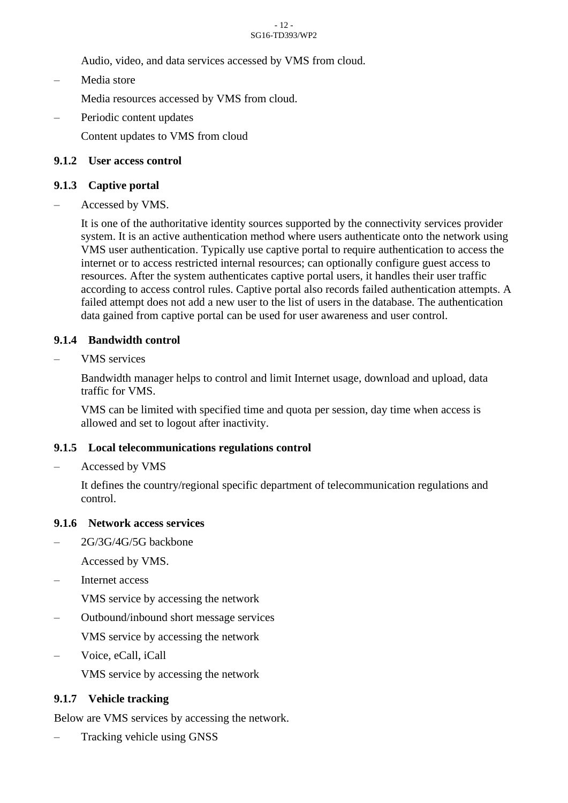#### - 12 - SG16-TD393/WP2

Audio, video, and data services accessed by VMS from cloud.

– Media store

Media resources accessed by VMS from cloud.

Periodic content updates

Content updates to VMS from cloud

#### <span id="page-11-0"></span>**9.1.2 User access control**

#### <span id="page-11-1"></span>**9.1.3 Captive portal**

– Accessed by VMS.

It is one of the authoritative identity sources supported by the connectivity services provider system. It is an active authentication method where users authenticate onto the network using VMS user authentication. Typically use captive portal to require authentication to access the internet or to access restricted internal resources; can optionally configure guest access to resources. After the system authenticates captive portal users, it handles their user traffic according to access control rules. Captive portal also records failed authentication attempts. A failed attempt does not add a new user to the list of users in the database. The authentication data gained from captive portal can be used for user awareness and user control.

#### <span id="page-11-2"></span>**9.1.4 Bandwidth control**

– VMS services

Bandwidth manager helps to control and limit Internet usage, download and upload, data traffic for VMS.

VMS can be limited with specified time and quota per session, day time when access is allowed and set to logout after inactivity.

#### <span id="page-11-3"></span>**9.1.5 Local telecommunications regulations control**

– Accessed by VMS

It defines the country/regional specific department of telecommunication regulations and control.

#### <span id="page-11-4"></span>**9.1.6 Network access services**

– 2G/3G/4G/5G backbone

Accessed by VMS.

Internet access

VMS service by accessing the network

– Outbound/inbound short message services

VMS service by accessing the network

– Voice, eCall, iCall

VMS service by accessing the network

#### <span id="page-11-5"></span>**9.1.7 Vehicle tracking**

Below are VMS services by accessing the network.

– Tracking vehicle using GNSS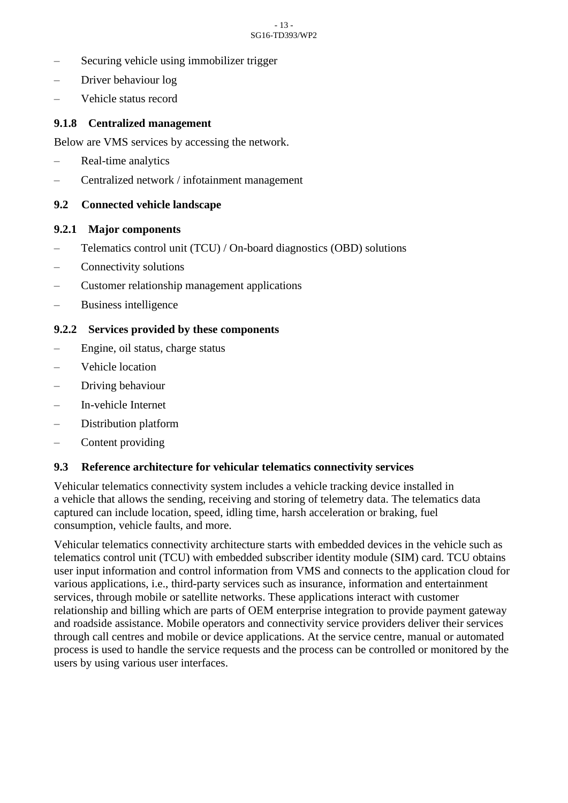#### - 13 - SG16-TD393/WP2

- Securing vehicle using immobilizer trigger
- Driver behaviour log
- Vehicle status record

#### <span id="page-12-0"></span>**9.1.8 Centralized management**

Below are VMS services by accessing the network.

- Real-time analytics
- Centralized network / infotainment management

#### <span id="page-12-1"></span>**9.2 Connected vehicle landscape**

#### <span id="page-12-2"></span>**9.2.1 Major components**

- Telematics control unit (TCU) / On-board diagnostics (OBD) solutions
- Connectivity solutions
- Customer relationship management applications
- Business intelligence

#### <span id="page-12-3"></span>**9.2.2 Services provided by these components**

- Engine, oil status, charge status
- Vehicle location
- Driving behaviour
- In-vehicle Internet
- Distribution platform
- Content providing

#### <span id="page-12-4"></span>**9.3 Reference architecture for vehicular telematics connectivity services**

Vehicular telematics connectivity system includes a vehicle tracking device installed in a vehicle that allows the sending, receiving and storing of telemetry data. The telematics data captured can include location, speed, idling time, harsh acceleration or braking, fuel consumption, vehicle faults, and more.

Vehicular telematics connectivity architecture starts with embedded devices in the vehicle such as telematics control unit (TCU) with embedded subscriber identity module (SIM) card. TCU obtains user input information and control information from VMS and connects to the application cloud for various applications, i.e., third-party services such as insurance, information and entertainment services, through mobile or satellite networks. These applications interact with customer relationship and billing which are parts of OEM enterprise integration to provide payment gateway and roadside assistance. Mobile operators and connectivity service providers deliver their services through call centres and mobile or device applications. At the service centre, manual or automated process is used to handle the service requests and the process can be controlled or monitored by the users by using various user interfaces.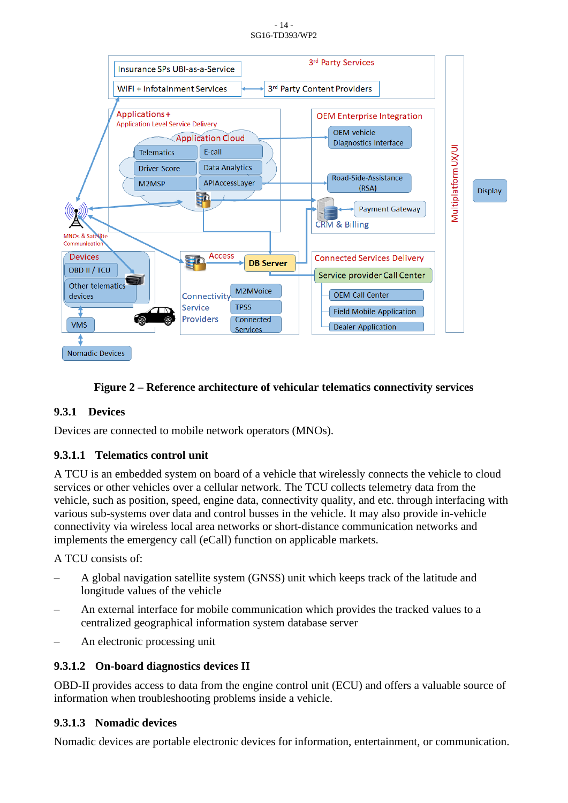- 14 - SG16-TD393/WP2



#### **Figure 2 – Reference architecture of vehicular telematics connectivity services**

#### <span id="page-13-1"></span><span id="page-13-0"></span>**9.3.1 Devices**

Devices are connected to mobile network operators (MNOs).

#### **9.3.1.1 Telematics control unit**

A TCU is an embedded system on board of a vehicle that wirelessly connects the vehicle to cloud services or other vehicles over a cellular network. The TCU collects telemetry data from the vehicle, such as position, speed, engine data, connectivity quality, and etc. through interfacing with various sub-systems over data and control busses in the vehicle. It may also provide in-vehicle connectivity via wireless local area networks or short-distance communication networks and implements the emergency call (eCall) function on applicable markets.

A TCU consists of:

- A global navigation satellite system (GNSS) unit which keeps track of the latitude and longitude values of the vehicle
- An external interface for mobile communication which provides the tracked values to a centralized geographical information system database server
- An electronic processing unit

#### **9.3.1.2 On-board diagnostics devices II**

OBD-II provides access to data from the engine control unit (ECU) and offers a valuable source of information when troubleshooting problems inside a vehicle.

#### **9.3.1.3 Nomadic devices**

Nomadic devices are portable electronic devices for information, entertainment, or communication.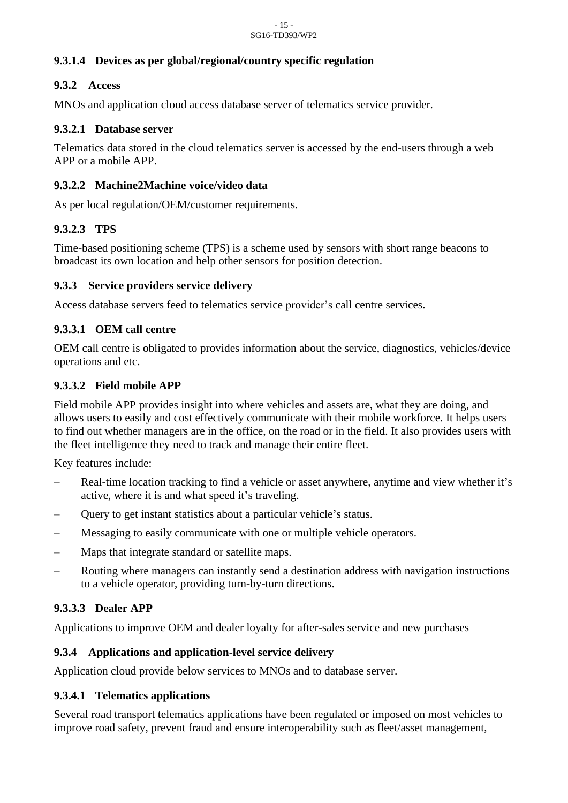#### **9.3.1.4 Devices as per global/regional/country specific regulation**

#### <span id="page-14-0"></span>**9.3.2 Access**

MNOs and application cloud access database server of telematics service provider.

#### **9.3.2.1 Database server**

Telematics data stored in the cloud telematics server is accessed by the end-users through a web APP or a mobile APP.

#### **9.3.2.2 Machine2Machine voice/video data**

As per local regulation/OEM/customer requirements.

#### **9.3.2.3 TPS**

Time-based positioning scheme (TPS) is a scheme used by sensors with short range beacons to broadcast its own location and help other sensors for position detection.

#### <span id="page-14-1"></span>**9.3.3 Service providers service delivery**

Access database servers feed to telematics service provider's call centre services.

#### **9.3.3.1 OEM call centre**

OEM call centre is obligated to provides information about the service, diagnostics, vehicles/device operations and etc.

#### **9.3.3.2 Field mobile APP**

Field mobile APP provides insight into where vehicles and assets are, what they are doing, and allows users to easily and cost effectively communicate with their mobile workforce. It helps users to find out whether managers are in the office, on the road or in the field. It also provides users with the fleet intelligence they need to track and manage their entire fleet.

Key features include:

- Real-time location tracking to find a vehicle or asset anywhere, anytime and view whether it's active, where it is and what speed it's traveling.
- Query to get instant statistics about a particular vehicle's status.
- Messaging to easily communicate with one or multiple vehicle operators.
- Maps that integrate standard or satellite maps.
- Routing where managers can instantly send a destination address with navigation instructions to a vehicle operator, providing turn-by-turn directions.

#### **9.3.3.3 Dealer APP**

Applications to improve OEM and dealer loyalty for after-sales service and new purchases

#### <span id="page-14-2"></span>**9.3.4 Applications and application-level service delivery**

Application cloud provide below services to MNOs and to database server.

#### **9.3.4.1 Telematics applications**

Several road transport telematics applications have been regulated or imposed on most vehicles to improve road safety, prevent fraud and ensure interoperability such as fleet/asset management,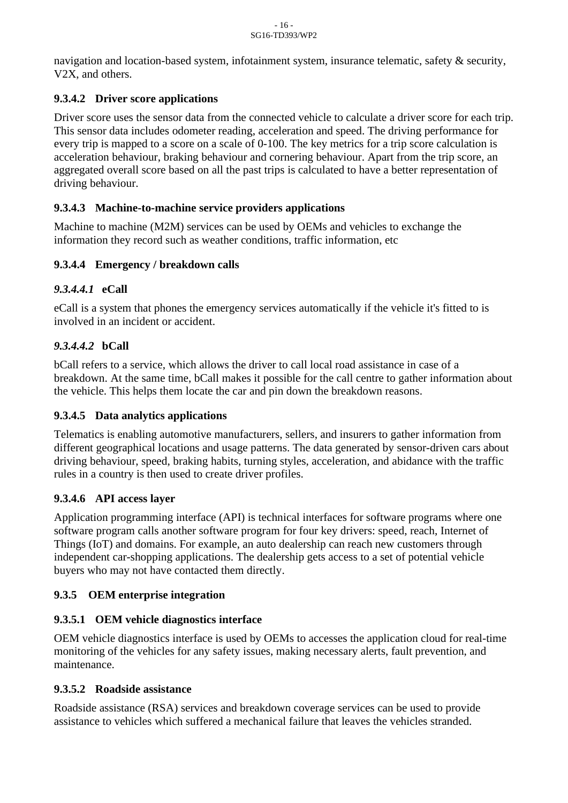navigation and location-based system, infotainment system, insurance telematic, safety & security, V2X, and others.

#### **9.3.4.2 Driver score applications**

Driver score uses the sensor data from the connected vehicle to calculate a driver score for each trip. This sensor data includes odometer reading, acceleration and speed. The driving performance for every trip is mapped to a score on a scale of 0-100. The key metrics for a trip score calculation is acceleration behaviour, braking behaviour and cornering behaviour. Apart from the trip score, an aggregated overall score based on all the past trips is calculated to have a better representation of driving behaviour.

#### **9.3.4.3 Machine-to-machine service providers applications**

Machine to machine (M2M) services can be used by OEMs and vehicles to exchange the information they record such as weather conditions, traffic information, etc

#### **9.3.4.4 Emergency / breakdown calls**

#### *9.3.4.4.1* **eCall**

eCall is a system that phones the emergency services automatically if the vehicle it's fitted to is involved in an incident or accident.

#### *9.3.4.4.2* **bCall**

bCall refers to a service, which allows the driver to call local road assistance in case of a breakdown. At the same time, bCall makes it possible for the call centre to gather information about the vehicle. This helps them locate the car and pin down the breakdown reasons.

#### **9.3.4.5 Data analytics applications**

Telematics is enabling automotive manufacturers, sellers, and insurers to gather information from different geographical locations and usage patterns. The data generated by sensor-driven cars about driving behaviour, speed, braking habits, turning styles, acceleration, and abidance with the traffic rules in a country is then used to create driver profiles.

#### **9.3.4.6 API access layer**

Application programming interface (API) is technical interfaces for software programs where one software program calls another software program for four key drivers: speed, reach, Internet of Things (IoT) and domains. For example, an auto dealership can reach new customers through independent car-shopping applications. The dealership gets access to a set of potential vehicle buyers who may not have contacted them directly.

## <span id="page-15-0"></span>**9.3.5 OEM enterprise integration**

#### **9.3.5.1 OEM vehicle diagnostics interface**

OEM vehicle diagnostics interface is used by OEMs to accesses the application cloud for real-time monitoring of the vehicles for any safety issues, making necessary alerts, fault prevention, and maintenance.

#### **9.3.5.2 Roadside assistance**

Roadside assistance (RSA) services and breakdown coverage services can be used to provide assistance to vehicles which suffered a mechanical failure that leaves the vehicles stranded.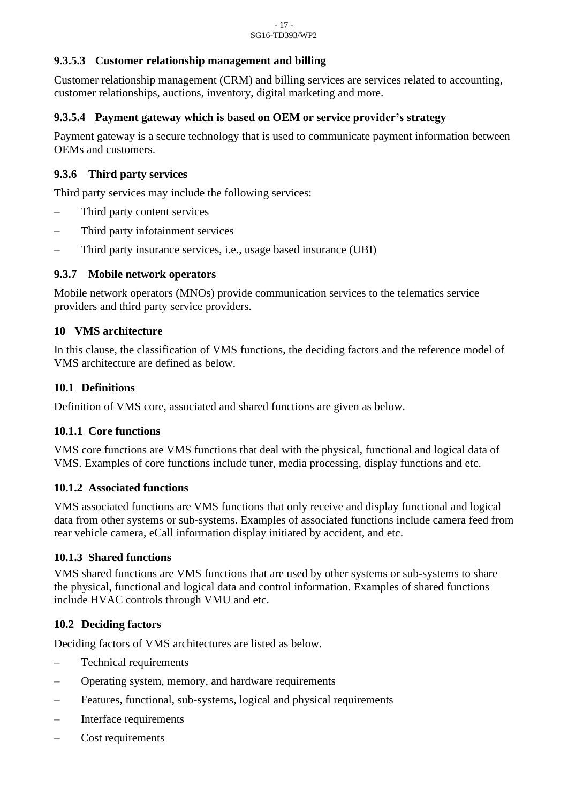#### **9.3.5.3 Customer relationship management and billing**

Customer relationship management (CRM) and billing services are services related to accounting, customer relationships, auctions, inventory, digital marketing and more.

#### **9.3.5.4 Payment gateway which is based on OEM or service provider's strategy**

Payment gateway is a secure technology that is used to communicate payment information between OEMs and customers.

#### <span id="page-16-0"></span>**9.3.6 Third party services**

Third party services may include the following services:

- Third party content services
- Third party infotainment services
- Third party insurance services, i.e., usage based insurance (UBI)

#### <span id="page-16-1"></span>**9.3.7 Mobile network operators**

Mobile network operators (MNOs) provide communication services to the telematics service providers and third party service providers.

#### <span id="page-16-2"></span>**10 VMS architecture**

In this clause, the classification of VMS functions, the deciding factors and the reference model of VMS architecture are defined as below.

#### <span id="page-16-3"></span>**10.1 Definitions**

Definition of VMS core, associated and shared functions are given as below.

#### <span id="page-16-4"></span>**10.1.1 Core functions**

VMS core functions are VMS functions that deal with the physical, functional and logical data of VMS. Examples of core functions include tuner, media processing, display functions and etc.

#### <span id="page-16-5"></span>**10.1.2 Associated functions**

VMS associated functions are VMS functions that only receive and display functional and logical data from other systems or sub-systems. Examples of associated functions include camera feed from rear vehicle camera, eCall information display initiated by accident, and etc.

#### <span id="page-16-6"></span>**10.1.3 Shared functions**

VMS shared functions are VMS functions that are used by other systems or sub-systems to share the physical, functional and logical data and control information. Examples of shared functions include HVAC controls through VMU and etc.

#### <span id="page-16-7"></span>**10.2 Deciding factors**

Deciding factors of VMS architectures are listed as below.

- Technical requirements
- Operating system, memory, and hardware requirements
- Features, functional, sub-systems, logical and physical requirements
- Interface requirements
- Cost requirements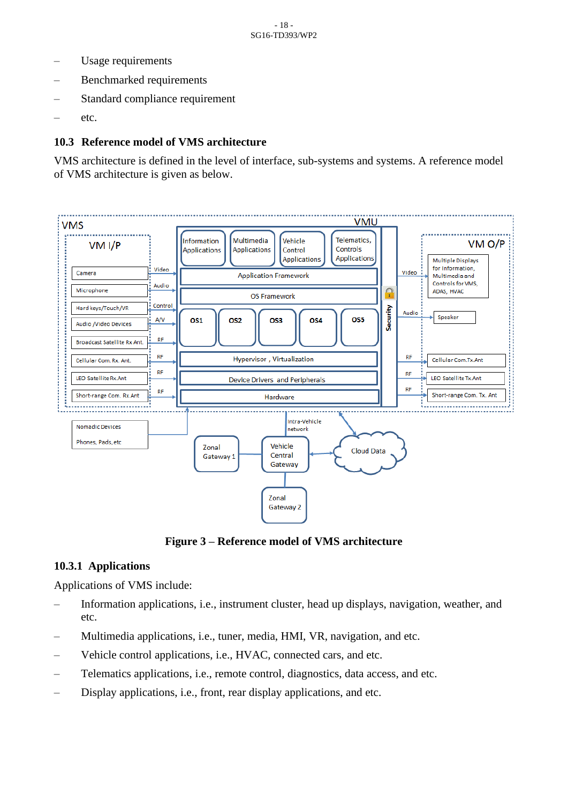- Usage requirements
- Benchmarked requirements
- Standard compliance requirement
- etc.

#### <span id="page-17-0"></span>**10.3 Reference model of VMS architecture**

VMS architecture is defined in the level of interface, sub-systems and systems. A reference model of VMS architecture is given as below.



**Figure 3 – Reference model of VMS architecture**

#### <span id="page-17-2"></span><span id="page-17-1"></span>**10.3.1 Applications**

Applications of VMS include:

- Information applications, i.e., instrument cluster, head up displays, navigation, weather, and etc.
- Multimedia applications, i.e., tuner, media, HMI, VR, navigation, and etc.
- Vehicle control applications, i.e., HVAC, connected cars, and etc.
- Telematics applications, i.e., remote control, diagnostics, data access, and etc.
- Display applications, i.e., front, rear display applications, and etc.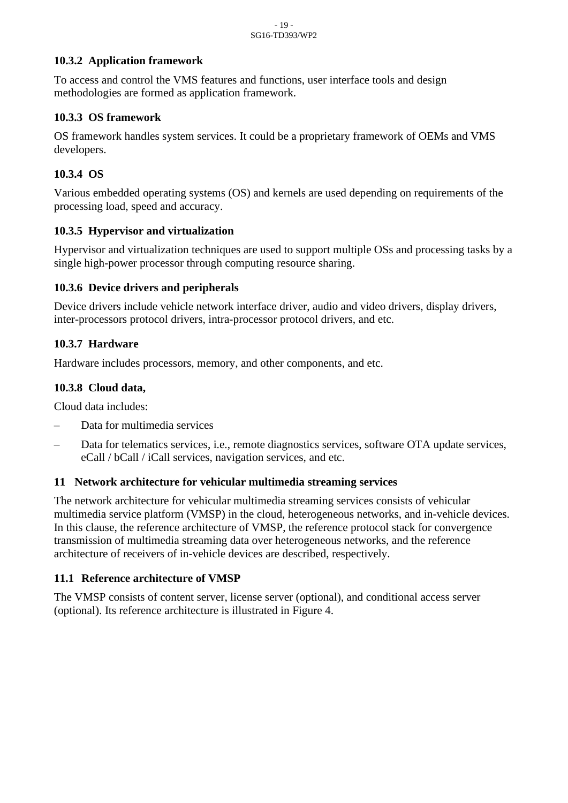#### <span id="page-18-0"></span>**10.3.2 Application framework**

To access and control the VMS features and functions, user interface tools and design methodologies are formed as application framework.

#### <span id="page-18-1"></span>**10.3.3 OS framework**

OS framework handles system services. It could be a proprietary framework of OEMs and VMS developers.

#### <span id="page-18-2"></span>**10.3.4 OS**

Various embedded operating systems (OS) and kernels are used depending on requirements of the processing load, speed and accuracy.

#### <span id="page-18-3"></span>**10.3.5 Hypervisor and virtualization**

Hypervisor and virtualization techniques are used to support multiple OSs and processing tasks by a single high-power processor through computing resource sharing.

#### <span id="page-18-4"></span>**10.3.6 Device drivers and peripherals**

Device drivers include vehicle network interface driver, audio and video drivers, display drivers, inter-processors protocol drivers, intra-processor protocol drivers, and etc.

#### <span id="page-18-5"></span>**10.3.7 Hardware**

Hardware includes processors, memory, and other components, and etc.

#### <span id="page-18-6"></span>**10.3.8 Cloud data,**

Cloud data includes:

- Data for multimedia services
- Data for telematics services, i.e., remote diagnostics services, software OTA update services, eCall / bCall / iCall services, navigation services, and etc.

#### <span id="page-18-7"></span>**11 Network architecture for vehicular multimedia streaming services**

The network architecture for vehicular multimedia streaming services consists of vehicular multimedia service platform (VMSP) in the cloud, heterogeneous networks, and in-vehicle devices. In this clause, the reference architecture of VMSP, the reference protocol stack for convergence transmission of multimedia streaming data over heterogeneous networks, and the reference architecture of receivers of in-vehicle devices are described, respectively.

#### <span id="page-18-8"></span>**11.1 Reference architecture of VMSP**

The VMSP consists of content server, license server (optional), and conditional access server (optional). Its reference architecture is illustrated in Figure 4.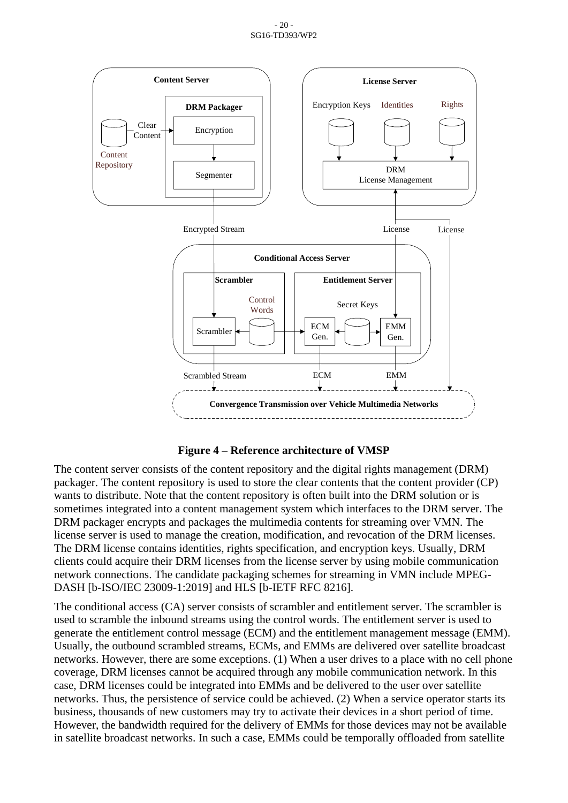#### - 20 - SG16-TD393/WP2





<span id="page-19-0"></span>The content server consists of the content repository and the digital rights management (DRM) packager. The content repository is used to store the clear contents that the content provider (CP) wants to distribute. Note that the content repository is often built into the DRM solution or is sometimes integrated into a content management system which interfaces to the DRM server. The DRM packager encrypts and packages the multimedia contents for streaming over VMN. The license server is used to manage the creation, modification, and revocation of the DRM licenses. The DRM license contains identities, rights specification, and encryption keys. Usually, DRM clients could acquire their DRM licenses from the license server by using mobile communication network connections. The candidate packaging schemes for streaming in VMN include MPEG-DASH [b-ISO/IEC 23009-1:2019] and HLS [b-IETF RFC 8216].

The conditional access (CA) server consists of scrambler and entitlement server. The scrambler is used to scramble the inbound streams using the control words. The entitlement server is used to generate the entitlement control message (ECM) and the entitlement management message (EMM). Usually, the outbound scrambled streams, ECMs, and EMMs are delivered over satellite broadcast networks. However, there are some exceptions. (1) When a user drives to a place with no cell phone coverage, DRM licenses cannot be acquired through any mobile communication network. In this case, DRM licenses could be integrated into EMMs and be delivered to the user over satellite networks. Thus, the persistence of service could be achieved. (2) When a service operator starts its business, thousands of new customers may try to activate their devices in a short period of time. However, the bandwidth required for the delivery of EMMs for those devices may not be available in satellite broadcast networks. In such a case, EMMs could be temporally offloaded from satellite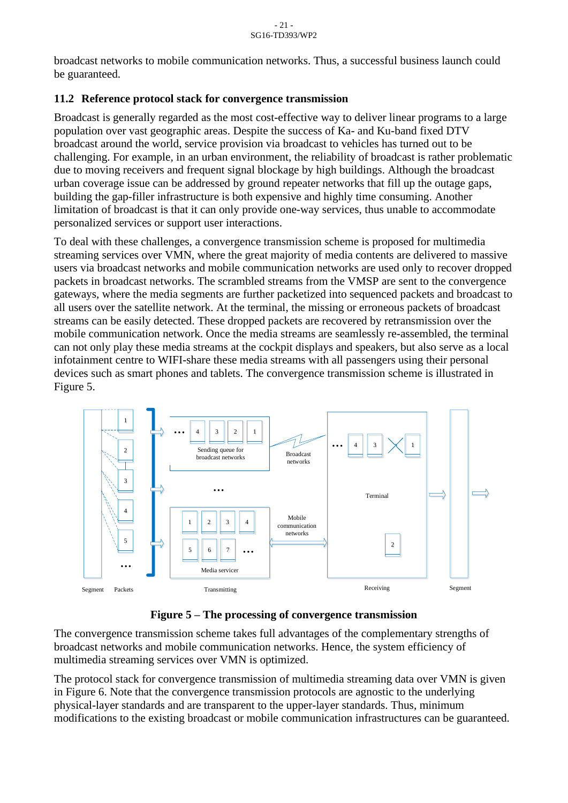broadcast networks to mobile communication networks. Thus, a successful business launch could be guaranteed.

#### <span id="page-20-0"></span>**11.2 Reference protocol stack for convergence transmission**

Broadcast is generally regarded as the most cost-effective way to deliver linear programs to a large population over vast geographic areas. Despite the success of Ka- and Ku-band fixed DTV broadcast around the world, service provision via broadcast to vehicles has turned out to be challenging. For example, in an urban environment, the reliability of broadcast is rather problematic due to moving receivers and frequent signal blockage by high buildings. Although the broadcast urban coverage issue can be addressed by ground repeater networks that fill up the outage gaps, building the gap-filler infrastructure is both expensive and highly time consuming. Another limitation of broadcast is that it can only provide one-way services, thus unable to accommodate personalized services or support user interactions.

To deal with these challenges, a convergence transmission scheme is proposed for multimedia streaming services over VMN, where the great majority of media contents are delivered to massive users via broadcast networks and mobile communication networks are used only to recover dropped packets in broadcast networks. The scrambled streams from the VMSP are sent to the convergence gateways, where the media segments are further packetized into sequenced packets and broadcast to all users over the satellite network. At the terminal, the missing or erroneous packets of broadcast streams can be easily detected. These dropped packets are recovered by retransmission over the mobile communication network. Once the media streams are seamlessly re-assembled, the terminal can not only play these media streams at the cockpit displays and speakers, but also serve as a local infotainment centre to WIFI-share these media streams with all passengers using their personal devices such as smart phones and tablets. The convergence transmission scheme is illustrated in Figure 5.



**Figure 5 – The processing of convergence transmission**

<span id="page-20-1"></span>The convergence transmission scheme takes full advantages of the complementary strengths of broadcast networks and mobile communication networks. Hence, the system efficiency of multimedia streaming services over VMN is optimized.

The protocol stack for convergence transmission of multimedia streaming data over VMN is given in Figure 6. Note that the convergence transmission protocols are agnostic to the underlying physical-layer standards and are transparent to the upper-layer standards. Thus, minimum modifications to the existing broadcast or mobile communication infrastructures can be guaranteed.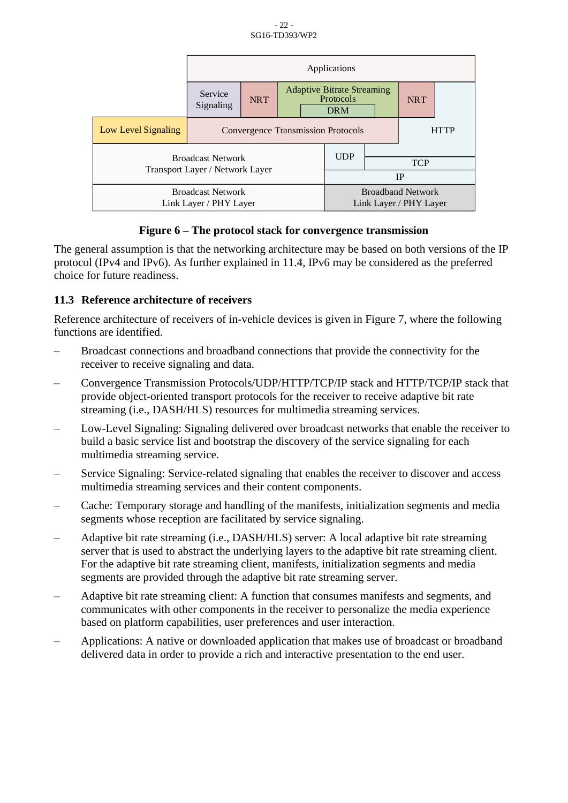|                                                             | Applications                                             |            |  |                          |                                                              |  |            |  |
|-------------------------------------------------------------|----------------------------------------------------------|------------|--|--------------------------|--------------------------------------------------------------|--|------------|--|
|                                                             | Service<br>Signaling                                     | <b>NRT</b> |  |                          | <b>Adaptive Bitrate Streaming</b><br>Protocols<br><b>DRM</b> |  | <b>NRT</b> |  |
| Low Level Signaling                                         | <b>Convergence Transmission Protocols</b><br><b>HTTP</b> |            |  |                          |                                                              |  |            |  |
| <b>Broadcast Network</b><br>Transport Layer / Network Layer |                                                          |            |  | <b>UDP</b>               |                                                              |  |            |  |
|                                                             |                                                          |            |  |                          | <b>TCP</b>                                                   |  |            |  |
|                                                             |                                                          |            |  | <b>IP</b>                |                                                              |  |            |  |
| <b>Broadcast Network</b>                                    |                                                          |            |  | <b>Broadband Network</b> |                                                              |  |            |  |
| Link Layer / PHY Layer                                      |                                                          |            |  | Link Layer / PHY Layer   |                                                              |  |            |  |

#### **Figure 6 – The protocol stack for convergence transmission**

<span id="page-21-1"></span>The general assumption is that the networking architecture may be based on both versions of the IP protocol (IPv4 and IPv6). As further explained in 11.4, IPv6 may be considered as the preferred choice for future readiness.

#### <span id="page-21-0"></span>**11.3 Reference architecture of receivers**

Reference architecture of receivers of in-vehicle devices is given in Figure 7, where the following functions are identified.

- Broadcast connections and broadband connections that provide the connectivity for the receiver to receive signaling and data.
- Convergence Transmission Protocols/UDP/HTTP/TCP/IP stack and HTTP/TCP/IP stack that provide object-oriented transport protocols for the receiver to receive adaptive bit rate streaming (i.e., DASH/HLS) resources for multimedia streaming services.
- Low-Level Signaling: Signaling delivered over broadcast networks that enable the receiver to build a basic service list and bootstrap the discovery of the service signaling for each multimedia streaming service.
- Service Signaling: Service-related signaling that enables the receiver to discover and access multimedia streaming services and their content components.
- Cache: Temporary storage and handling of the manifests, initialization segments and media segments whose reception are facilitated by service signaling.
- Adaptive bit rate streaming (i.e., DASH/HLS) server: A local adaptive bit rate streaming server that is used to abstract the underlying layers to the adaptive bit rate streaming client. For the adaptive bit rate streaming client, manifests, initialization segments and media segments are provided through the adaptive bit rate streaming server.
- Adaptive bit rate streaming client: A function that consumes manifests and segments, and communicates with other components in the receiver to personalize the media experience based on platform capabilities, user preferences and user interaction.
- Applications: A native or downloaded application that makes use of broadcast or broadband delivered data in order to provide a rich and interactive presentation to the end user.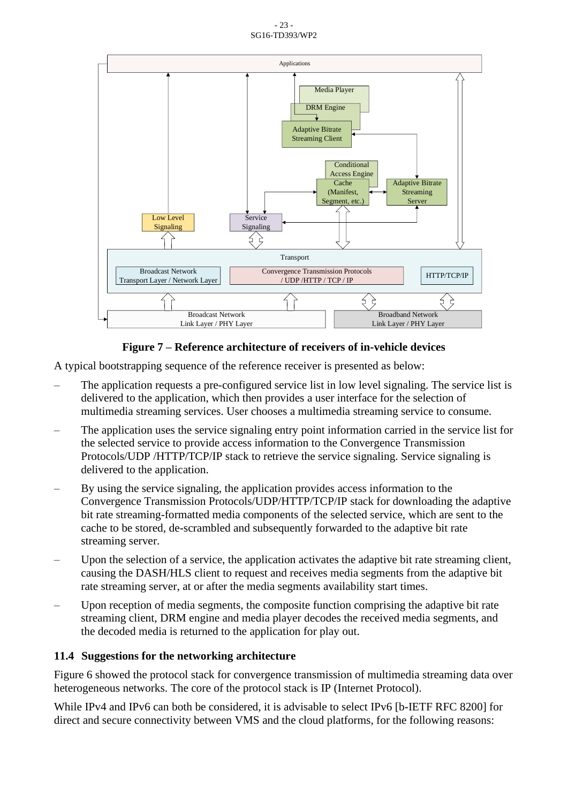- 23 - SG16-TD393/WP2



#### **Figure 7 – Reference architecture of receivers of in-vehicle devices**

<span id="page-22-1"></span>A typical bootstrapping sequence of the reference receiver is presented as below:

- The application requests a pre-configured service list in low level signaling. The service list is delivered to the application, which then provides a user interface for the selection of multimedia streaming services. User chooses a multimedia streaming service to consume.
- The application uses the service signaling entry point information carried in the service list for the selected service to provide access information to the Convergence Transmission Protocols/UDP /HTTP/TCP/IP stack to retrieve the service signaling. Service signaling is delivered to the application.
- By using the service signaling, the application provides access information to the Convergence Transmission Protocols/UDP/HTTP/TCP/IP stack for downloading the adaptive bit rate streaming-formatted media components of the selected service, which are sent to the cache to be stored, de-scrambled and subsequently forwarded to the adaptive bit rate streaming server.
- Upon the selection of a service, the application activates the adaptive bit rate streaming client, causing the DASH/HLS client to request and receives media segments from the adaptive bit rate streaming server, at or after the media segments availability start times.
- Upon reception of media segments, the composite function comprising the adaptive bit rate streaming client, DRM engine and media player decodes the received media segments, and the decoded media is returned to the application for play out.

#### <span id="page-22-0"></span>**11.4 Suggestions for the networking architecture**

Figure 6 showed the protocol stack for convergence transmission of multimedia streaming data over heterogeneous networks. The core of the protocol stack is IP (Internet Protocol).

While IPv4 and IPv6 can both be considered, it is advisable to select IPv6 [b-IETF RFC 8200] for direct and secure connectivity between VMS and the cloud platforms, for the following reasons: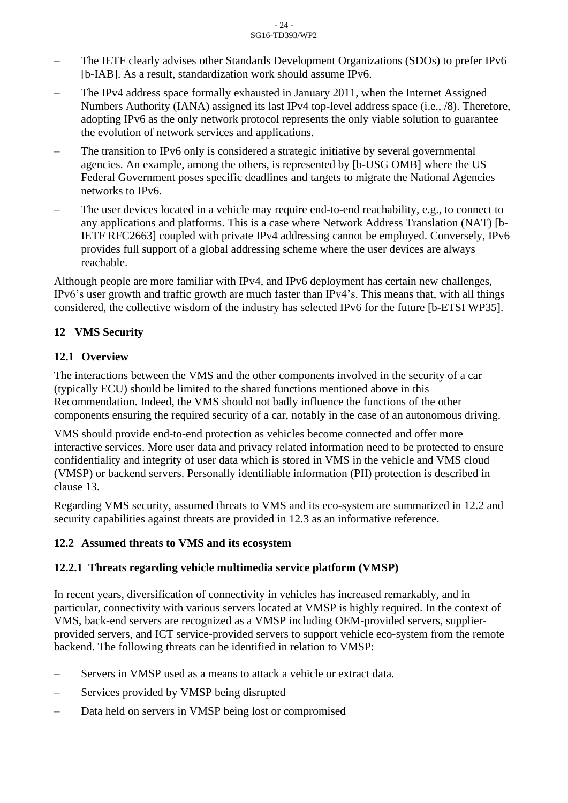- The IETF clearly advises other Standards Development Organizations (SDOs) to prefer IPv6 [b-IAB]. As a result, standardization work should assume IPv6.
- The IPv4 address space formally exhausted in January 2011, when the Internet Assigned Numbers Authority (IANA) assigned its last IPv4 top-level address space (i.e., /8). Therefore, adopting IPv6 as the only network protocol represents the only viable solution to guarantee the evolution of network services and applications.
- The transition to IPv6 only is considered a strategic initiative by several governmental agencies. An example, among the others, is represented by [b-USG OMB] where the US Federal Government poses specific deadlines and targets to migrate the National Agencies networks to IPv6.
- The user devices located in a vehicle may require end-to-end reachability, e.g., to connect to any applications and platforms. This is a case where Network Address Translation (NAT) [b-IETF RFC2663] coupled with private IPv4 addressing cannot be employed. Conversely, IPv6 provides full support of a global addressing scheme where the user devices are always reachable.

Although people are more familiar with IPv4, and IPv6 deployment has certain new challenges, IPv6's user growth and traffic growth are much faster than IPv4's. This means that, with all things considered, the collective wisdom of the industry has selected IPv6 for the future [b-ETSI WP35].

#### <span id="page-23-0"></span>**12 VMS Security**

#### <span id="page-23-1"></span>**12.1 Overview**

The interactions between the VMS and the other components involved in the security of a car (typically ECU) should be limited to the shared functions mentioned above in this Recommendation. Indeed, the VMS should not badly influence the functions of the other components ensuring the required security of a car, notably in the case of an autonomous driving.

VMS should provide end-to-end protection as vehicles become connected and offer more interactive services. More user data and privacy related information need to be protected to ensure confidentiality and integrity of user data which is stored in VMS in the vehicle and VMS cloud (VMSP) or backend servers. Personally identifiable information (PII) protection is described in clause 13.

Regarding VMS security, assumed threats to VMS and its eco-system are summarized in 12.2 and security capabilities against threats are provided in 12.3 as an informative reference.

#### <span id="page-23-2"></span>**12.2 Assumed threats to VMS and its ecosystem**

#### <span id="page-23-3"></span>**12.2.1 Threats regarding vehicle multimedia service platform (VMSP)**

In recent years, diversification of connectivity in vehicles has increased remarkably, and in particular, connectivity with various servers located at VMSP is highly required. In the context of VMS, back-end servers are recognized as a VMSP including OEM-provided servers, supplierprovided servers, and ICT service-provided servers to support vehicle eco-system from the remote backend. The following threats can be identified in relation to VMSP:

- Servers in VMSP used as a means to attack a vehicle or extract data.
- Services provided by VMSP being disrupted
- Data held on servers in VMSP being lost or compromised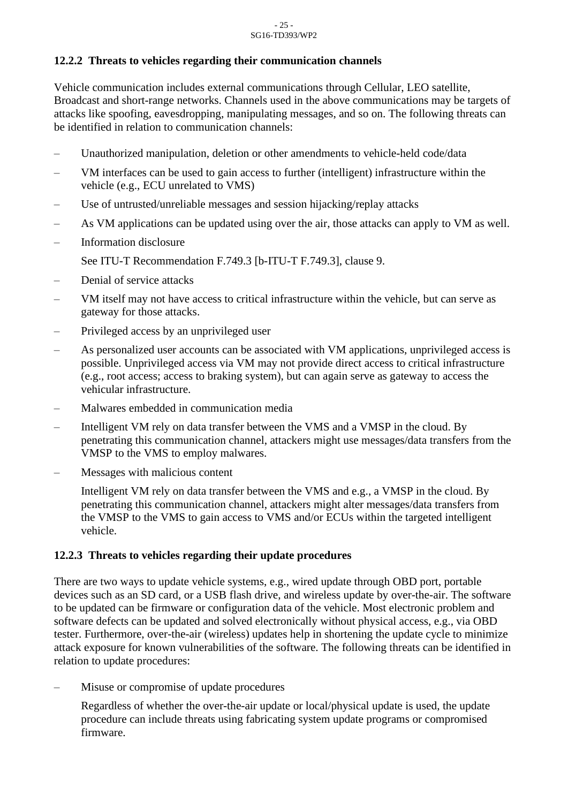#### <span id="page-24-0"></span>**12.2.2 Threats to vehicles regarding their communication channels**

Vehicle communication includes external communications through Cellular, LEO satellite, Broadcast and short-range networks. Channels used in the above communications may be targets of attacks like spoofing, eavesdropping, manipulating messages, and so on. The following threats can be identified in relation to communication channels:

- Unauthorized manipulation, deletion or other amendments to vehicle-held code/data
- VM interfaces can be used to gain access to further (intelligent) infrastructure within the vehicle (e.g., ECU unrelated to VMS)
- Use of untrusted/unreliable messages and session hijacking/replay attacks
- As VM applications can be updated using over the air, those attacks can apply to VM as well.
- Information disclosure
	- See ITU-T Recommendation F.749.3 [b-ITU-T F.749.3], clause 9.
- Denial of service attacks
- VM itself may not have access to critical infrastructure within the vehicle, but can serve as gateway for those attacks.
- Privileged access by an unprivileged user
- As personalized user accounts can be associated with VM applications, unprivileged access is possible. Unprivileged access via VM may not provide direct access to critical infrastructure (e.g., root access; access to braking system), but can again serve as gateway to access the vehicular infrastructure.
- Malwares embedded in communication media
- Intelligent VM rely on data transfer between the VMS and a VMSP in the cloud. By penetrating this communication channel, attackers might use messages/data transfers from the VMSP to the VMS to employ malwares.
- Messages with malicious content

Intelligent VM rely on data transfer between the VMS and e.g., a VMSP in the cloud. By penetrating this communication channel, attackers might alter messages/data transfers from the VMSP to the VMS to gain access to VMS and/or ECUs within the targeted intelligent vehicle.

#### <span id="page-24-1"></span>**12.2.3 Threats to vehicles regarding their update procedures**

There are two ways to update vehicle systems, e.g., wired update through OBD port, portable devices such as an SD card, or a USB flash drive, and wireless update by over-the-air. The software to be updated can be firmware or configuration data of the vehicle. Most electronic problem and software defects can be updated and solved electronically without physical access, e.g., via OBD tester. Furthermore, over-the-air (wireless) updates help in shortening the update cycle to minimize attack exposure for known vulnerabilities of the software. The following threats can be identified in relation to update procedures:

- Misuse or compromise of update procedures
	- Regardless of whether the over-the-air update or local/physical update is used, the update procedure can include threats using fabricating system update programs or compromised firmware.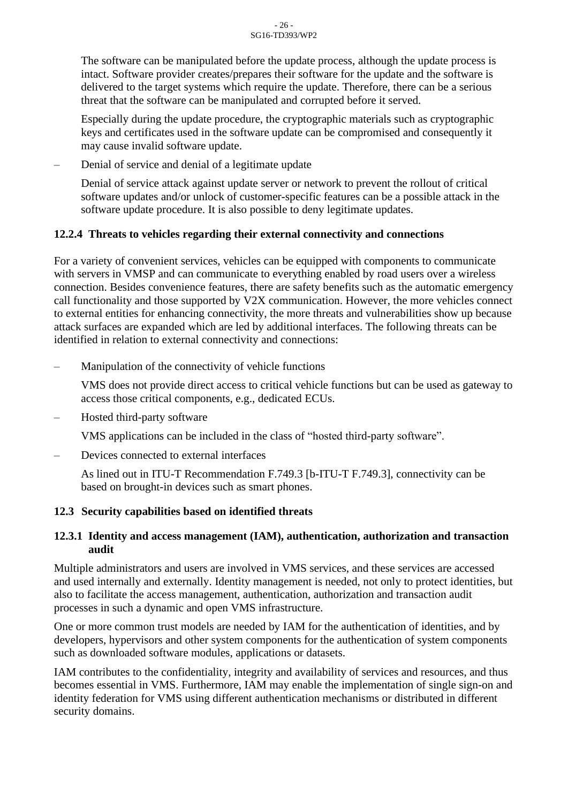The software can be manipulated before the update process, although the update process is intact. Software provider creates/prepares their software for the update and the software is delivered to the target systems which require the update. Therefore, there can be a serious threat that the software can be manipulated and corrupted before it served.

Especially during the update procedure, the cryptographic materials such as cryptographic keys and certificates used in the software update can be compromised and consequently it may cause invalid software update.

– Denial of service and denial of a legitimate update

Denial of service attack against update server or network to prevent the rollout of critical software updates and/or unlock of customer-specific features can be a possible attack in the software update procedure. It is also possible to deny legitimate updates.

#### <span id="page-25-0"></span>**12.2.4 Threats to vehicles regarding their external connectivity and connections**

For a variety of convenient services, vehicles can be equipped with components to communicate with servers in VMSP and can communicate to everything enabled by road users over a wireless connection. Besides convenience features, there are safety benefits such as the automatic emergency call functionality and those supported by V2X communication. However, the more vehicles connect to external entities for enhancing connectivity, the more threats and vulnerabilities show up because attack surfaces are expanded which are led by additional interfaces. The following threats can be identified in relation to external connectivity and connections:

– Manipulation of the connectivity of vehicle functions

VMS does not provide direct access to critical vehicle functions but can be used as gateway to access those critical components, e.g., dedicated ECUs.

Hosted third-party software

VMS applications can be included in the class of "hosted third-party software".

– Devices connected to external interfaces

As lined out in ITU-T Recommendation F.749.3 [b-ITU-T F.749.3], connectivity can be based on brought-in devices such as smart phones.

#### <span id="page-25-1"></span>**12.3 Security capabilities based on identified threats**

#### <span id="page-25-2"></span>**12.3.1 Identity and access management (IAM), authentication, authorization and transaction audit**

Multiple administrators and users are involved in VMS services, and these services are accessed and used internally and externally. Identity management is needed, not only to protect identities, but also to facilitate the access management, authentication, authorization and transaction audit processes in such a dynamic and open VMS infrastructure.

One or more common trust models are needed by IAM for the authentication of identities, and by developers, hypervisors and other system components for the authentication of system components such as downloaded software modules, applications or datasets.

IAM contributes to the confidentiality, integrity and availability of services and resources, and thus becomes essential in VMS. Furthermore, IAM may enable the implementation of single sign-on and identity federation for VMS using different authentication mechanisms or distributed in different security domains.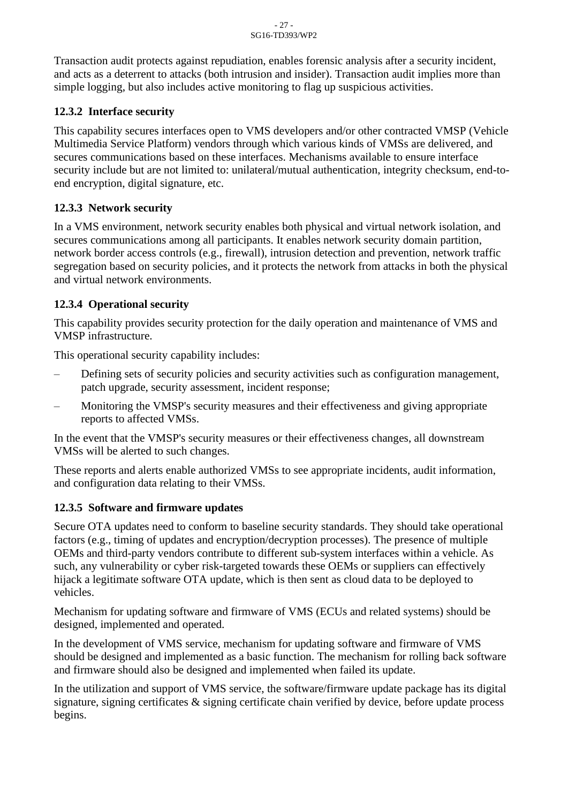Transaction audit protects against repudiation, enables forensic analysis after a security incident, and acts as a deterrent to attacks (both intrusion and insider). Transaction audit implies more than simple logging, but also includes active monitoring to flag up suspicious activities.

#### <span id="page-26-0"></span>**12.3.2 Interface security**

This capability secures interfaces open to VMS developers and/or other contracted VMSP (Vehicle Multimedia Service Platform) vendors through which various kinds of VMSs are delivered, and secures communications based on these interfaces. Mechanisms available to ensure interface security include but are not limited to: unilateral/mutual authentication, integrity checksum, end-toend encryption, digital signature, etc.

#### <span id="page-26-1"></span>**12.3.3 Network security**

In a VMS environment, network security enables both physical and virtual network isolation, and secures communications among all participants. It enables network security domain partition, network border access controls (e.g., firewall), intrusion detection and prevention, network traffic segregation based on security policies, and it protects the network from attacks in both the physical and virtual network environments.

## <span id="page-26-2"></span>**12.3.4 Operational security**

This capability provides security protection for the daily operation and maintenance of VMS and VMSP infrastructure.

This operational security capability includes:

- Defining sets of security policies and security activities such as configuration management, patch upgrade, security assessment, incident response;
- Monitoring the VMSP's security measures and their effectiveness and giving appropriate reports to affected VMSs.

In the event that the VMSP's security measures or their effectiveness changes, all downstream VMSs will be alerted to such changes.

These reports and alerts enable authorized VMSs to see appropriate incidents, audit information, and configuration data relating to their VMSs.

#### <span id="page-26-3"></span>**12.3.5 Software and firmware updates**

Secure OTA updates need to conform to baseline security standards. They should take operational factors (e.g., timing of updates and encryption/decryption processes). The presence of multiple OEMs and third-party vendors contribute to different sub-system interfaces within a vehicle. As such, any vulnerability or cyber risk-targeted towards these OEMs or suppliers can effectively hijack a legitimate software OTA update, which is then sent as cloud data to be deployed to vehicles.

Mechanism for updating software and firmware of VMS (ECUs and related systems) should be designed, implemented and operated.

In the development of VMS service, mechanism for updating software and firmware of VMS should be designed and implemented as a basic function. The mechanism for rolling back software and firmware should also be designed and implemented when failed its update.

In the utilization and support of VMS service, the software/firmware update package has its digital signature, signing certificates & signing certificate chain verified by device, before update process begins.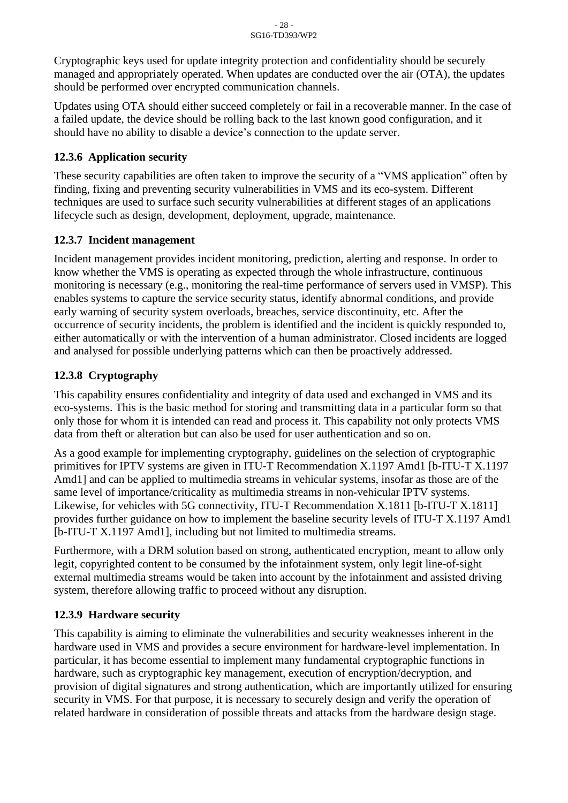Cryptographic keys used for update integrity protection and confidentiality should be securely managed and appropriately operated. When updates are conducted over the air (OTA), the updates should be performed over encrypted communication channels.

Updates using OTA should either succeed completely or fail in a recoverable manner. In the case of a failed update, the device should be rolling back to the last known good configuration, and it should have no ability to disable a device's connection to the update server.

#### <span id="page-27-0"></span>**12.3.6 Application security**

These security capabilities are often taken to improve the security of a "VMS application" often by finding, fixing and preventing security vulnerabilities in VMS and its eco-system. Different techniques are used to surface such security vulnerabilities at different stages of an applications lifecycle such as design, development, deployment, upgrade, maintenance.

#### <span id="page-27-1"></span>**12.3.7 Incident management**

Incident management provides incident monitoring, prediction, alerting and response. In order to know whether the VMS is operating as expected through the whole infrastructure, continuous monitoring is necessary (e.g., monitoring the real-time performance of servers used in VMSP). This enables systems to capture the service security status, identify abnormal conditions, and provide early warning of security system overloads, breaches, service discontinuity, etc. After the occurrence of security incidents, the problem is identified and the incident is quickly responded to, either automatically or with the intervention of a human administrator. Closed incidents are logged and analysed for possible underlying patterns which can then be proactively addressed.

#### <span id="page-27-2"></span>**12.3.8 Cryptography**

This capability ensures confidentiality and integrity of data used and exchanged in VMS and its eco-systems. This is the basic method for storing and transmitting data in a particular form so that only those for whom it is intended can read and process it. This capability not only protects VMS data from theft or alteration but can also be used for user authentication and so on.

As a good example for implementing cryptography, guidelines on the selection of cryptographic primitives for IPTV systems are given in ITU-T Recommendation X.1197 Amd1 [b-ITU-T X.1197 Amd1] and can be applied to multimedia streams in vehicular systems, insofar as those are of the same level of importance/criticality as multimedia streams in non-vehicular IPTV systems. Likewise, for vehicles with 5G connectivity, ITU-T Recommendation X.1811 [b-ITU-T X.1811] provides further guidance on how to implement the baseline security levels of ITU-T X.1197 Amd1 [b-ITU-T X.1197 Amd1], including but not limited to multimedia streams.

Furthermore, with a DRM solution based on strong, authenticated encryption, meant to allow only legit, copyrighted content to be consumed by the infotainment system, only legit line-of-sight external multimedia streams would be taken into account by the infotainment and assisted driving system, therefore allowing traffic to proceed without any disruption.

#### <span id="page-27-3"></span>**12.3.9 Hardware security**

This capability is aiming to eliminate the vulnerabilities and security weaknesses inherent in the hardware used in VMS and provides a secure environment for hardware-level implementation. In particular, it has become essential to implement many fundamental cryptographic functions in hardware, such as cryptographic key management, execution of encryption/decryption, and provision of digital signatures and strong authentication, which are importantly utilized for ensuring security in VMS. For that purpose, it is necessary to securely design and verify the operation of related hardware in consideration of possible threats and attacks from the hardware design stage.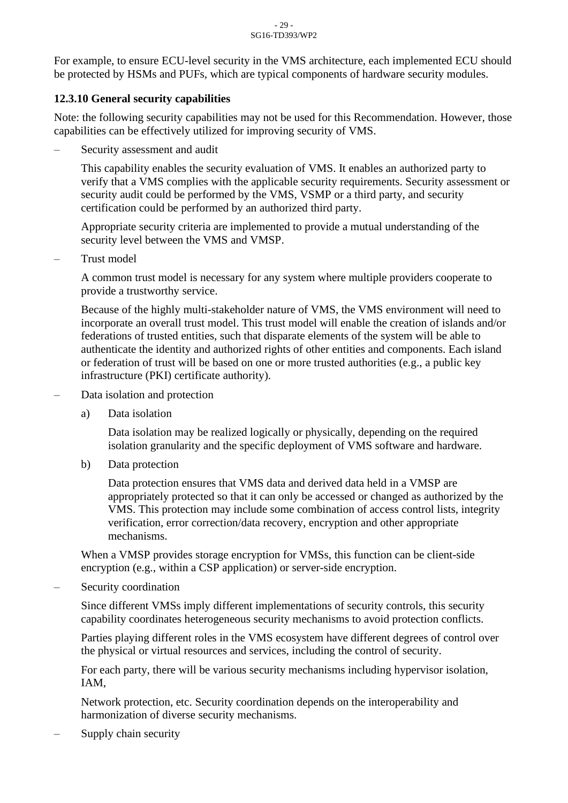For example, to ensure ECU-level security in the VMS architecture, each implemented ECU should be protected by HSMs and PUFs, which are typical components of hardware security modules.

#### <span id="page-28-0"></span>**12.3.10 General security capabilities**

Note: the following security capabilities may not be used for this Recommendation. However, those capabilities can be effectively utilized for improving security of VMS.

– Security assessment and audit

This capability enables the security evaluation of VMS. It enables an authorized party to verify that a VMS complies with the applicable security requirements. Security assessment or security audit could be performed by the VMS, VSMP or a third party, and security certification could be performed by an authorized third party.

Appropriate security criteria are implemented to provide a mutual understanding of the security level between the VMS and VMSP.

– Trust model

A common trust model is necessary for any system where multiple providers cooperate to provide a trustworthy service.

Because of the highly multi-stakeholder nature of VMS, the VMS environment will need to incorporate an overall trust model. This trust model will enable the creation of islands and/or federations of trusted entities, such that disparate elements of the system will be able to authenticate the identity and authorized rights of other entities and components. Each island or federation of trust will be based on one or more trusted authorities (e.g., a public key infrastructure (PKI) certificate authority).

- Data isolation and protection
	- a) Data isolation

Data isolation may be realized logically or physically, depending on the required isolation granularity and the specific deployment of VMS software and hardware.

b) Data protection

Data protection ensures that VMS data and derived data held in a VMSP are appropriately protected so that it can only be accessed or changed as authorized by the VMS. This protection may include some combination of access control lists, integrity verification, error correction/data recovery, encryption and other appropriate mechanisms.

When a VMSP provides storage encryption for VMSs, this function can be client-side encryption (e.g., within a CSP application) or server-side encryption.

Security coordination

Since different VMSs imply different implementations of security controls, this security capability coordinates heterogeneous security mechanisms to avoid protection conflicts.

Parties playing different roles in the VMS ecosystem have different degrees of control over the physical or virtual resources and services, including the control of security.

For each party, there will be various security mechanisms including hypervisor isolation, IAM,

Network protection, etc. Security coordination depends on the interoperability and harmonization of diverse security mechanisms.

– Supply chain security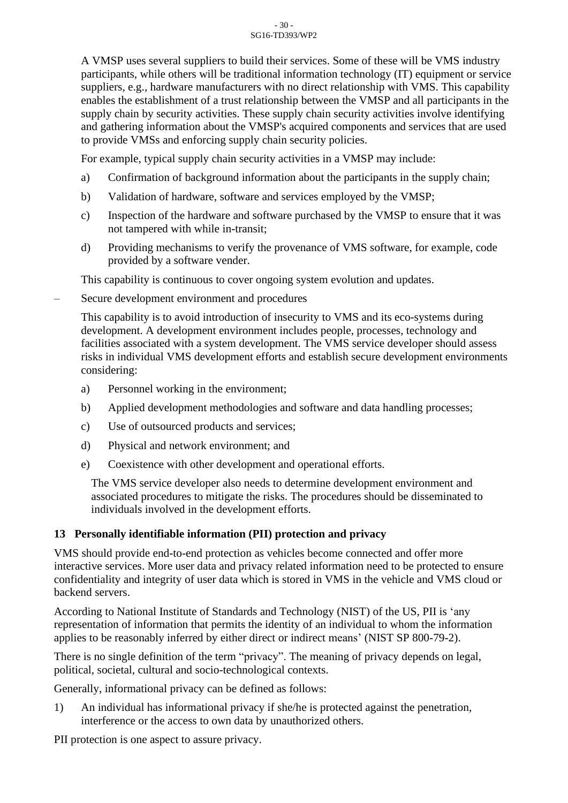A VMSP uses several suppliers to build their services. Some of these will be VMS industry participants, while others will be traditional information technology (IT) equipment or service suppliers, e.g., hardware manufacturers with no direct relationship with VMS. This capability enables the establishment of a trust relationship between the VMSP and all participants in the supply chain by security activities. These supply chain security activities involve identifying and gathering information about the VMSP's acquired components and services that are used to provide VMSs and enforcing supply chain security policies.

For example, typical supply chain security activities in a VMSP may include:

- a) Confirmation of background information about the participants in the supply chain;
- b) Validation of hardware, software and services employed by the VMSP;
- c) Inspection of the hardware and software purchased by the VMSP to ensure that it was not tampered with while in-transit;
- d) Providing mechanisms to verify the provenance of VMS software, for example, code provided by a software vender.

This capability is continuous to cover ongoing system evolution and updates.

– Secure development environment and procedures

This capability is to avoid introduction of insecurity to VMS and its eco-systems during development. A development environment includes people, processes, technology and facilities associated with a system development. The VMS service developer should assess risks in individual VMS development efforts and establish secure development environments considering:

- a) Personnel working in the environment;
- b) Applied development methodologies and software and data handling processes;
- c) Use of outsourced products and services;
- d) Physical and network environment; and
- e) Coexistence with other development and operational efforts.

The VMS service developer also needs to determine development environment and associated procedures to mitigate the risks. The procedures should be disseminated to individuals involved in the development efforts.

#### <span id="page-29-0"></span>**13 Personally identifiable information (PII) protection and privacy**

VMS should provide end-to-end protection as vehicles become connected and offer more interactive services. More user data and privacy related information need to be protected to ensure confidentiality and integrity of user data which is stored in VMS in the vehicle and VMS cloud or backend servers.

According to National Institute of Standards and Technology (NIST) of the US, PII is 'any representation of information that permits the identity of an individual to whom the information applies to be reasonably inferred by either direct or indirect means' (NIST SP 800-79-2).

There is no single definition of the term "privacy". The meaning of privacy depends on legal, political, societal, cultural and socio-technological contexts.

Generally, informational privacy can be defined as follows:

1) An individual has informational privacy if she/he is protected against the penetration, interference or the access to own data by unauthorized others.

PII protection is one aspect to assure privacy.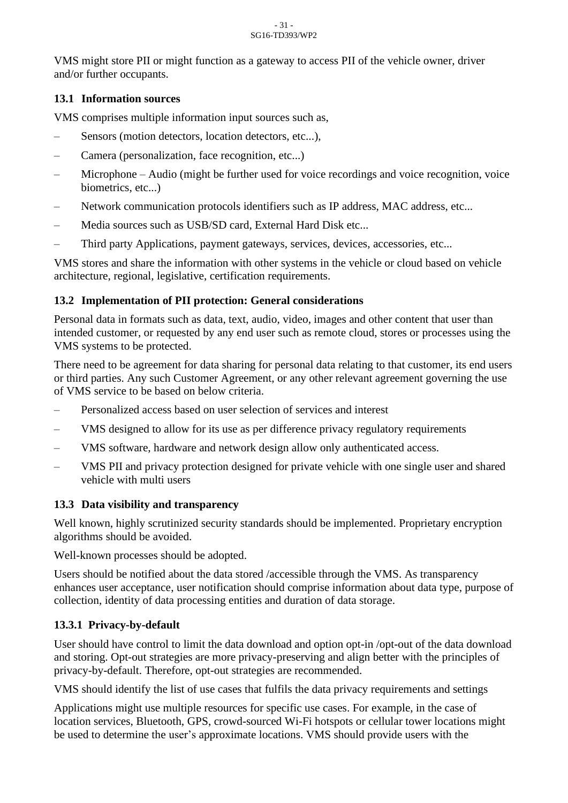#### - 31 - SG16-TD393/WP2

VMS might store PII or might function as a gateway to access PII of the vehicle owner, driver and/or further occupants.

#### <span id="page-30-0"></span>**13.1 Information sources**

VMS comprises multiple information input sources such as,

- Sensors (motion detectors, location detectors, etc...),
- Camera (personalization, face recognition, etc...)
- Microphone Audio (might be further used for voice recordings and voice recognition, voice biometrics, etc...)
- Network communication protocols identifiers such as IP address, MAC address, etc...
- Media sources such as USB/SD card, External Hard Disk etc...
- Third party Applications, payment gateways, services, devices, accessories, etc...

VMS stores and share the information with other systems in the vehicle or cloud based on vehicle architecture, regional, legislative, certification requirements.

#### <span id="page-30-1"></span>**13.2 Implementation of PII protection: General considerations**

Personal data in formats such as data, text, audio, video, images and other content that user than intended customer, or requested by any end user such as remote cloud, stores or processes using the VMS systems to be protected.

There need to be agreement for data sharing for personal data relating to that customer, its end users or third parties. Any such Customer Agreement, or any other relevant agreement governing the use of VMS service to be based on below criteria.

- Personalized access based on user selection of services and interest
- VMS designed to allow for its use as per difference privacy regulatory requirements
- VMS software, hardware and network design allow only authenticated access.
- VMS PII and privacy protection designed for private vehicle with one single user and shared vehicle with multi users

#### <span id="page-30-2"></span>**13.3 Data visibility and transparency**

Well known, highly scrutinized security standards should be implemented. Proprietary encryption algorithms should be avoided.

Well-known processes should be adopted.

Users should be notified about the data stored /accessible through the VMS. As transparency enhances user acceptance, user notification should comprise information about data type, purpose of collection, identity of data processing entities and duration of data storage.

#### <span id="page-30-3"></span>**13.3.1 Privacy-by-default**

User should have control to limit the data download and option opt-in /opt-out of the data download and storing. Opt-out strategies are more privacy-preserving and align better with the principles of privacy-by-default. Therefore, opt-out strategies are recommended.

VMS should identify the list of use cases that fulfils the data privacy requirements and settings

Applications might use multiple resources for specific use cases. For example, in the case of location services, Bluetooth, GPS, crowd-sourced Wi-Fi hotspots or cellular tower locations might be used to determine the user's approximate locations. VMS should provide users with the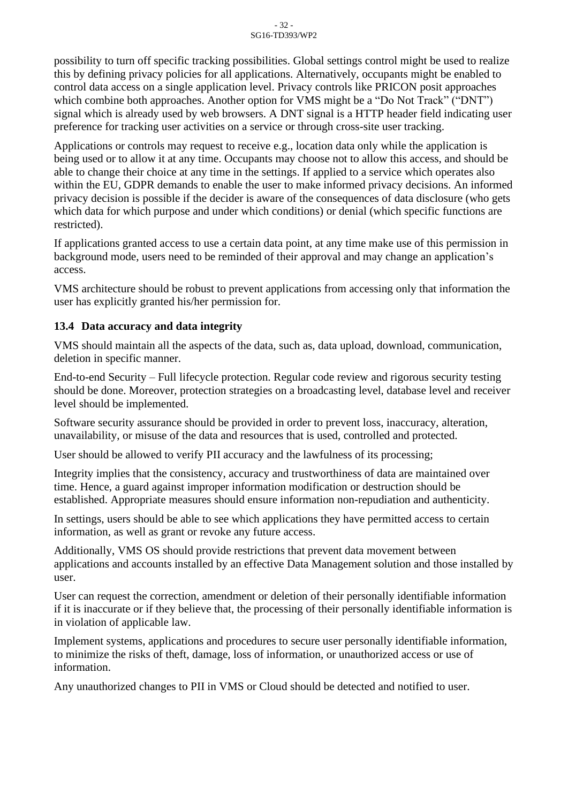possibility to turn off specific tracking possibilities. Global settings control might be used to realize this by defining privacy policies for all applications. Alternatively, occupants might be enabled to control data access on a single application level. Privacy controls like PRICON posit approaches which combine both approaches. Another option for VMS might be a "Do Not Track" ("DNT") signal which is already used by web browsers. A DNT signal is a HTTP header field indicating user preference for tracking user activities on a service or through cross-site user tracking.

Applications or controls may request to receive e.g., location data only while the application is being used or to allow it at any time. Occupants may choose not to allow this access, and should be able to change their choice at any time in the settings. If applied to a service which operates also within the EU, GDPR demands to enable the user to make informed privacy decisions. An informed privacy decision is possible if the decider is aware of the consequences of data disclosure (who gets which data for which purpose and under which conditions) or denial (which specific functions are restricted).

If applications granted access to use a certain data point, at any time make use of this permission in background mode, users need to be reminded of their approval and may change an application's access.

VMS architecture should be robust to prevent applications from accessing only that information the user has explicitly granted his/her permission for.

#### <span id="page-31-0"></span>**13.4 Data accuracy and data integrity**

VMS should maintain all the aspects of the data, such as, data upload, download, communication, deletion in specific manner.

End-to-end Security – Full lifecycle protection. Regular code review and rigorous security testing should be done. Moreover, protection strategies on a broadcasting level, database level and receiver level should be implemented.

Software security assurance should be provided in order to prevent loss, inaccuracy, alteration, unavailability, or misuse of the data and resources that is used, controlled and protected.

User should be allowed to verify PII accuracy and the lawfulness of its processing;

Integrity implies that the consistency, accuracy and trustworthiness of data are maintained over time. Hence, a guard against improper information modification or destruction should be established. Appropriate measures should ensure information non-repudiation and authenticity.

In settings, users should be able to see which applications they have permitted access to certain information, as well as grant or revoke any future access.

Additionally, VMS OS should provide restrictions that prevent data movement between applications and accounts installed by an effective Data Management solution and those installed by user.

User can request the correction, amendment or deletion of their personally identifiable information if it is inaccurate or if they believe that, the processing of their personally identifiable information is in violation of applicable law.

Implement systems, applications and procedures to secure user personally identifiable information, to minimize the risks of theft, damage, loss of information, or unauthorized access or use of information.

Any unauthorized changes to PII in VMS or Cloud should be detected and notified to user.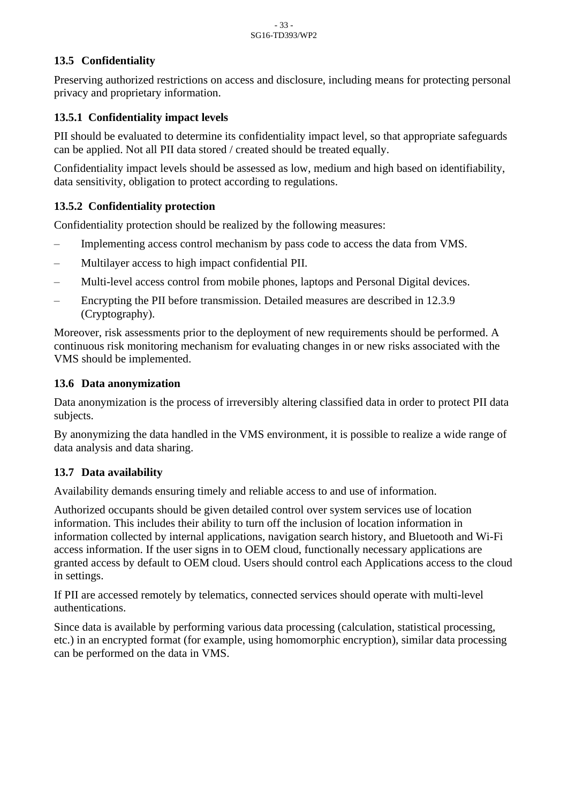#### <span id="page-32-0"></span>**13.5 Confidentiality**

Preserving authorized restrictions on access and disclosure, including means for protecting personal privacy and proprietary information.

#### <span id="page-32-1"></span>**13.5.1 Confidentiality impact levels**

PII should be evaluated to determine its confidentiality impact level, so that appropriate safeguards can be applied. Not all PII data stored / created should be treated equally.

Confidentiality impact levels should be assessed as low, medium and high based on identifiability, data sensitivity, obligation to protect according to regulations.

#### <span id="page-32-2"></span>**13.5.2 Confidentiality protection**

Confidentiality protection should be realized by the following measures:

- Implementing access control mechanism by pass code to access the data from VMS.
- Multilayer access to high impact confidential PII.
- Multi-level access control from mobile phones, laptops and Personal Digital devices.
- Encrypting the PII before transmission. Detailed measures are described in 12.3.9 (Cryptography).

Moreover, risk assessments prior to the deployment of new requirements should be performed. A continuous risk monitoring mechanism for evaluating changes in or new risks associated with the VMS should be implemented.

#### <span id="page-32-3"></span>**13.6 Data [anonymization](https://ejje.weblio.jp/content/data+anonymization)**

Data anonymization is the process of irreversibly altering classified data in order to protect PII data subjects.

By anonymizing the data handled in the VMS environment, it is possible to realize a wide range of data analysis and data sharing.

#### <span id="page-32-4"></span>**13.7 Data availability**

Availability demands ensuring timely and reliable access to and use of information.

Authorized occupants should be given detailed control over system services use of location information. This includes their ability to turn off the inclusion of location information in information collected by internal applications, navigation search history, and Bluetooth and Wi-Fi access information. If the user signs in to OEM cloud, functionally necessary applications are granted access by default to OEM cloud. Users should control each Applications access to the cloud in settings.

If PII are accessed remotely by telematics, connected services should operate with multi-level authentications.

Since data is available by performing various data processing (calculation, statistical processing, etc.) in an encrypted format (for example, using homomorphic encryption), similar data processing can be performed on the data in VMS.